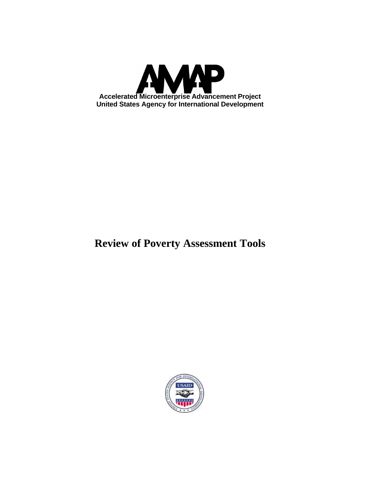

# **Review of Poverty Assessment Tools**

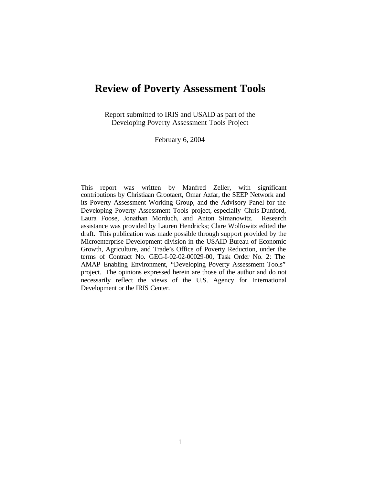### **Review of Poverty Assessment Tools**

Report submitted to IRIS and USAID as part of the Developing Poverty Assessment Tools Project

February 6, 2004

This report was written by Manfred Zeller, with significant contributions by Christiaan Grootaert, Omar Azfar, the SEEP Network and its Poverty Assessment Working Group, and the Advisory Panel for the Developing Poverty Assessment Tools project, especially Chris Dunford, Laura Foose, Jonathan Morduch, and Anton Simanowitz. Research assistance was provided by Lauren Hendricks; Clare Wolfowitz edited the draft. This publication was made possible through support provided by the Microenterprise Development division in the USAID Bureau of Economic Growth, Agriculture, and Trade's Office of Poverty Reduction, under the terms of Contract No. GEG-I-02-02-00029-00, Task Order No. 2: The AMAP Enabling Environment, "Developing Poverty Assessment Tools" project. The opinions expressed herein are those of the author and do not necessarily reflect the views of the U.S. Agency for International Development or the IRIS Center.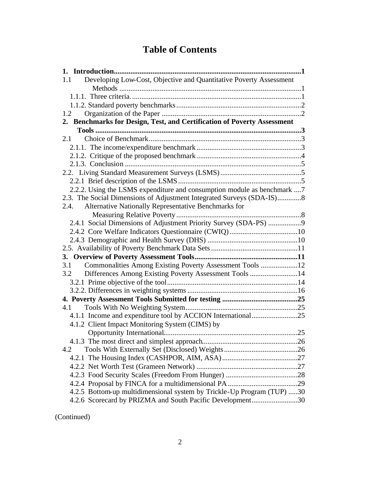# **Table of Contents**

| Developing Low-Cost, Objective and Quantitative Poverty Assessment<br>1.1 |  |
|---------------------------------------------------------------------------|--|
|                                                                           |  |
|                                                                           |  |
|                                                                           |  |
| 1.2                                                                       |  |
| 2. Benchmarks for Design, Test, and Certification of Poverty Assessment   |  |
|                                                                           |  |
| 2.1                                                                       |  |
|                                                                           |  |
|                                                                           |  |
|                                                                           |  |
|                                                                           |  |
|                                                                           |  |
| 2.2.2. Using the LSMS expenditure and consumption module as benchmark 7   |  |
| 2.3. The Social Dimensions of Adjustment Integrated Surveys (SDA-IS)8     |  |
| Alternative Nationally Representative Benchmarks for<br>2.4.              |  |
|                                                                           |  |
| 2.4.1 Social Dimensions of Adjustment Priority Survey (SDA-PS) 9          |  |
|                                                                           |  |
|                                                                           |  |
|                                                                           |  |
|                                                                           |  |
| Commonalities Among Existing Poverty Assessment Tools 12<br>3.1           |  |
| Differences Among Existing Poverty Assessment Tools 14<br>3.2             |  |
|                                                                           |  |
|                                                                           |  |
|                                                                           |  |
| 4.1                                                                       |  |
| 4.1.1 Income and expenditure tool by ACCION International25               |  |
| 4.1.2 Client Impact Monitoring System (CIMS) by                           |  |
|                                                                           |  |
|                                                                           |  |
| 4.2                                                                       |  |
|                                                                           |  |
|                                                                           |  |
|                                                                           |  |
|                                                                           |  |
| 4.2.5 Bottom-up multidimensional system by Trickle-Up Program (TUP) 30    |  |
| 4.2.6 Scorecard by PRIZMA and South Pacific Development30                 |  |

(Continued)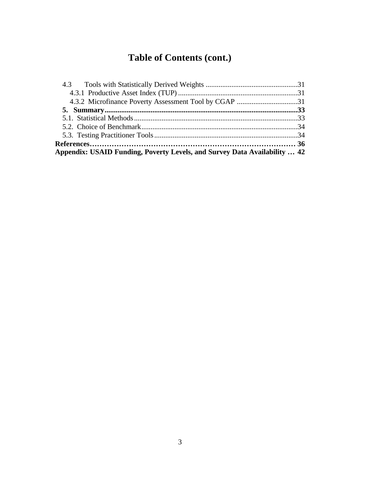# **Table of Contents (cont.)**

| Appendix: USAID Funding, Poverty Levels, and Survey Data Availability  42 |  |
|---------------------------------------------------------------------------|--|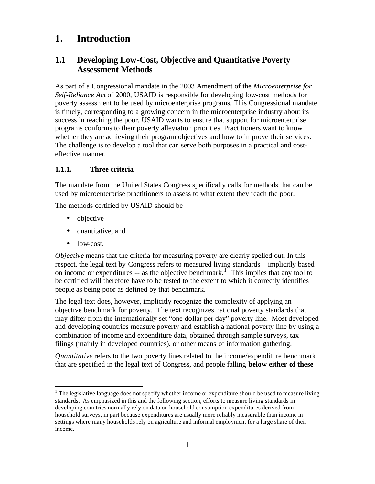### **1. Introduction**

### **1.1 Developing Low-Cost, Objective and Quantitative Poverty Assessment Methods**

As part of a Congressional mandate in the 2003 Amendment of the *Microenterprise for Self-Reliance Act* of 2000, USAID is responsible for developing low-cost methods for poverty assessment to be used by microenterprise programs. This Congressional mandate is timely, corresponding to a growing concern in the microenterprise industry about its success in reaching the poor. USAID wants to ensure that support for microenterprise programs conforms to their poverty alleviation priorities. Practitioners want to know whether they are achieving their program objectives and how to improve their services. The challenge is to develop a tool that can serve both purposes in a practical and costeffective manner.

#### **1.1.1. Three criteria**

The mandate from the United States Congress specifically calls for methods that can be used by microenterprise practitioners to assess to what extent they reach the poor.

The methods certified by USAID should be

- objective
- quantitative, and
- low-cost.

*Objective* means that the criteria for measuring poverty are clearly spelled out. In this respect, the legal text by Congress refers to measured living standards – implicitly based on income or expenditures -- as the objective benchmark.<sup>1</sup> This implies that any tool to be certified will therefore have to be tested to the extent to which it correctly identifies people as being poor as defined by that benchmark.

The legal text does, however, implicitly recognize the complexity of applying an objective benchmark for poverty. The text recognizes national poverty standards that may differ from the internationally set "one dollar per day" poverty line. Most developed and developing countries measure poverty and establish a national poverty line by using a combination of income and expenditure data, obtained through sample surveys, tax filings (mainly in developed countries), or other means of information gathering.

*Quantitative* refers to the two poverty lines related to the income/expenditure benchmark that are specified in the legal text of Congress, and people falling **below either of these** 

 $\overline{a}$  $1$  The legislative language does not specify whether income or expenditure should be used to measure living standards. As emphasized in this and the following section, efforts to measure living standards in developing countries normally rely on data on household consumption expenditures derived from household surveys, in part because expenditures are usually more reliably measurable than income in settings where many households rely on agriculture and informal employment for a large share of their income.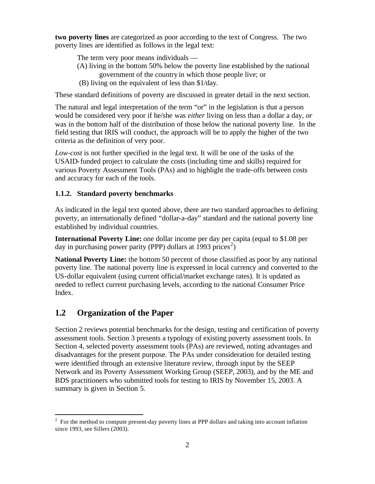**two poverty lines** are categorized as poor according to the text of Congress. The two poverty lines are identified as follows in the legal text:

The term very poor means individuals —

- (A) living in the bottom 50% below the poverty line established by the national government of the country in which those people live; or
- (B) living on the equivalent of less than \$1/day.

These standard definitions of poverty are discussed in greater detail in the next section.

The natural and legal interpretation of the term "or" in the legislation is that a person would be considered very poor if he/she was *either* living on less than a dollar a day, *or* was in the bottom half of the distribution of those below the national poverty line. In the field testing that IRIS will conduct, the approach will be to apply the higher of the two criteria as the definition of very poor.

*Low-cost* is not further specified in the legal text. It will be one of the tasks of the USAID-funded project to calculate the costs (including time and skills) required for various Poverty Assessment Tools (PAs) and to highlight the trade-offs between costs and accuracy for each of the tools.

#### **1.1.2. Standard poverty benchmarks**

As indicated in the legal text quoted above, there are two standard approaches to defining poverty, an internationally defined "dollar-a-day" standard and the national poverty line established by individual countries.

**International Poverty Line:** one dollar income per day per capita (equal to \$1.08 per day in purchasing power parity (PPP) dollars at  $1993 \text{ prices}^2$ )

**National Poverty Line:** the bottom 50 percent of those classified as poor by any national poverty line. The national poverty line is expressed in local currency and converted to the US-dollar equivalent (using current official/market exchange rates). It is updated as needed to reflect current purchasing levels, according to the national Consumer Price Index.

### **1.2 Organization of the Paper**

 $\overline{a}$ 

Section 2 reviews potential benchmarks for the design, testing and certification of poverty assessment tools. Section 3 presents a typology of existing poverty assessment tools. In Section 4, selected poverty assessment tools (PAs) are reviewed, noting advantages and disadvantages for the present purpose. The PAs under consideration for detailed testing were identified through an extensive literature review, through input by the SEEP Network and its Poverty Assessment Working Group (SEEP, 2003), and by the ME and BDS practitioners who submitted tools for testing to IRIS by November 15, 2003. A summary is given in Section 5.

 $2^2$  For the method to compute present-day poverty lines at PPP dollars and taking into account inflation since 1993, see Sillers (2003).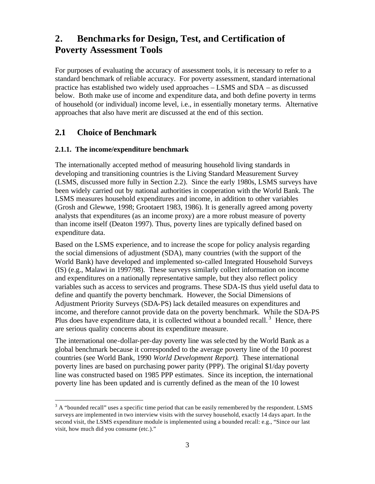### **2. Benchmarks for Design, Test, and Certification of Poverty Assessment Tools**

For purposes of evaluating the accuracy of assessment tools, it is necessary to refer to a standard benchmark of reliable accuracy. For poverty assessment, standard international practice has established two widely used approaches – LSMS and SDA – as discussed below. Both make use of income and expenditure data, and both define poverty in terms of household (or individual) income level, i.e., in essentially monetary terms. Alternative approaches that also have merit are discussed at the end of this section.

### **2.1 Choice of Benchmark**

 $\overline{a}$ 

#### **2.1.1. The income/expenditure benchmark**

The internationally accepted method of measuring household living standards in developing and transitioning countries is the Living Standard Measurement Survey (LSMS, discussed more fully in Section 2.2). Since the early 1980s, LSMS surveys have been widely carried out by national authorities in cooperation with the World Bank. The LSMS measures household expenditures and income, in addition to other variables (Grosh and Glewwe, 1998; Grootaert 1983, 1986). It is generally agreed among poverty analysts that expenditures (as an income proxy) are a more robust measure of poverty than income itself (Deaton 1997). Thus, poverty lines are typically defined based on expenditure data.

Based on the LSMS experience, and to increase the scope for policy analysis regarding the social dimensions of adjustment (SDA), many countries (with the support of the World Bank) have developed and implemented so-called Integrated Household Surveys (IS) (e.g., Malawi in 1997/98). These surveys similarly collect information on income and expenditures on a nationally representative sample, but they also reflect policy variables such as access to services and programs. These SDA-IS thus yield useful data to define and quantify the poverty benchmark. However, the Social Dimensions of Adjustment Priority Surveys (SDA-PS) lack detailed measures on expenditures and income, and therefore cannot provide data on the poverty benchmark. While the SDA-PS Plus does have expenditure data, it is collected without a bounded recall.<sup>3</sup> Hence, there are serious quality concerns about its expenditure measure.

The international one-dollar-per-day poverty line was sele cted by the World Bank as a global benchmark because it corresponded to the average poverty line of the 10 poorest countries (see World Bank, 1990 *World Development Report)*. These international poverty lines are based on purchasing power parity (PPP). The original \$1/day poverty line was constructed based on 1985 PPP estimates. Since its inception, the international poverty line has been updated and is currently defined as the mean of the 10 lowest

 $3 \text{ A}$  "bounded recall" uses a specific time period that can be easily remembered by the respondent. LSMS surveys are implemented in two interview visits with the survey household, exactly 14 days apart. In the second visit, the LSMS expenditure module is implemented using a bounded recall: e.g., "Since our last visit, how much did you consume (etc.)."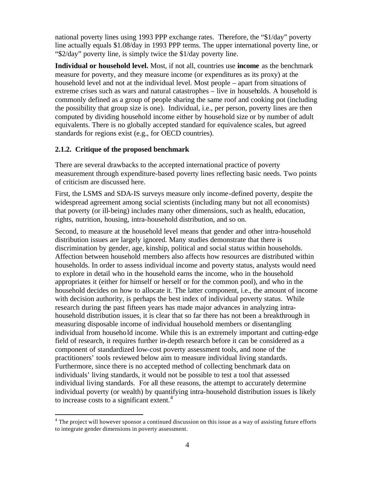national poverty lines using 1993 PPP exchange rates. Therefore, the "\$1/day" poverty line actually equals \$1.08/day in 1993 PPP terms. The upper international poverty line, or "\$2/day" poverty line, is simply twice the \$1/day poverty line.

**Individual or household level.** Most, if not all, countries use **income** as the benchmark measure for poverty, and they measure income (or expenditures as its proxy) at the household level and not at the individual level. Most people – apart from situations of extreme crises such as wars and natural catastrophes – live in households. A household is commonly defined as a group of people sharing the same roof and cooking pot (including the possibility that group size is one). Individual, i.e., per person, poverty lines are then computed by dividing household income either by household size or by number of adult equivalents. There is no globally accepted standard for equivalence scales, but agreed standards for regions exist (e.g., for OECD countries).

#### **2.1.2. Critique of the proposed benchmark**

 $\overline{a}$ 

There are several drawbacks to the accepted international practice of poverty measurement through expenditure-based poverty lines reflecting basic needs. Two points of criticism are discussed here.

First, the LSMS and SDA-IS surveys measure only income-defined poverty, despite the widespread agreement among social scientists (including many but not all economists) that poverty (or ill-being) includes many other dimensions, such as health, education, rights, nutrition, housing, intra-household distribution, and so on.

Second, to measure at the household level means that gender and other intra-household distribution issues are largely ignored. Many studies demonstrate that there is discrimination by gender, age, kinship, political and social status within households. Affection between household members also affects how resources are distributed within households. In order to assess individual income and poverty status, analysts would need to explore in detail who in the household earns the income, who in the household appropriates it (either for himself or herself or for the common pool), and who in the household decides on how to allocate it. The latter component, i.e., the amount of income with decision authority, is perhaps the best index of individual poverty status. While research during the past fifteen years has made major advances in analyzing intrahousehold distribution issues, it is clear that so far there has not been a breakthrough in measuring disposable income of individual household members or disentangling individual from household income. While this is an extremely important and cutting-edge field of research, it requires further in-depth research before it can be considered as a component of standardized low-cost poverty assessment tools, and none of the practitioners' tools reviewed below aim to measure individual living standards. Furthermore, since there is no accepted method of collecting benchmark data on individuals' living standards, it would not be possible to test a tool that assessed individual living standards. For all these reasons, the attempt to accurately determine individual poverty (or wealth) by quantifying intra-household distribution issues is likely to increase costs to a significant extent.<sup>4</sup>

<sup>&</sup>lt;sup>4</sup> The project will however sponsor a continued discussion on this issue as a way of assisting future efforts to integrate gender dimensions in poverty assessment.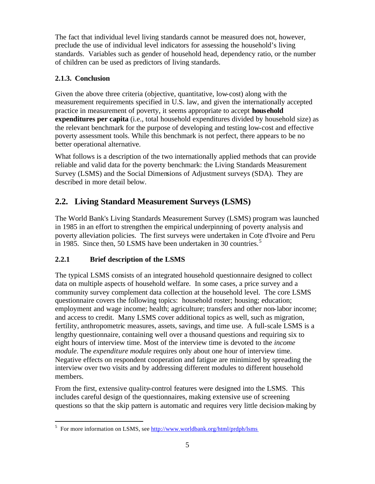The fact that individual level living standards cannot be measured does not, however, preclude the use of individual level indicators for assessing the household's living standards. Variables such as gender of household head, dependency ratio, or the number of children can be used as predictors of living standards.

#### **2.1.3. Conclusion**

Given the above three criteria (objective, quantitative, low-cost) along with the measurement requirements specified in U.S. law, and given the internationally accepted practice in measurement of poverty, it seems appropriate to accept **household expenditures per capita** (i.e., total household expenditures divided by household size) as the relevant benchmark for the purpose of developing and testing low-cost and effective poverty assessment tools. While this benchmark is not perfect, there appears to be no better operational alternative.

What follows is a description of the two internationally applied methods that can provide reliable and valid data for the poverty benchmark: the Living Standards Measurement Survey (LSMS) and the Social Dimensions of Adjustment surveys (SDA). They are described in more detail below.

### **2.2. Living Standard Measurement Surveys (LSMS)**

The World Bank's Living Standards Measurement Survey (LSMS) program was launched in 1985 in an effort to strengthen the empirical underpinning of poverty analysis and poverty alleviation policies. The first surveys were undertaken in Cote d'Ivoire and Peru in 1985. Since then, 50 LSMS have been undertaken in 30 countries.<sup>5</sup>

#### **2.2.1 Brief description of the LSMS**

The typical LSMS consists of an integrated household questionnaire designed to collect data on multiple aspects of household welfare. In some cases, a price survey and a community survey complement data collection at the household level. The core LSMS questionnaire covers the following topics: household roster; housing; education; employment and wage income; health; agriculture; transfers and other non-labor income; and access to credit. Many LSMS cover additional topics as well, such as migration, fertility, anthropometric measures, assets, savings, and time use. A full-scale LSMS is a lengthy questionnaire, containing well over a thousand questions and requiring six to eight hours of interview time. Most of the interview time is devoted to the *income module*. The *expenditure module* requires only about one hour of interview time. Negative effects on respondent cooperation and fatigue are minimized by spreading the interview over two visits and by addressing different modules to different household members.

From the first, extensive quality-control features were designed into the LSMS. This includes careful design of the questionnaires, making extensive use of screening questions so that the skip pattern is automatic and requires very little decision-making by

<sup>&</sup>lt;sup>5</sup> For more information on LSMS, see http://www.worldbank.org/html/prdph/lsms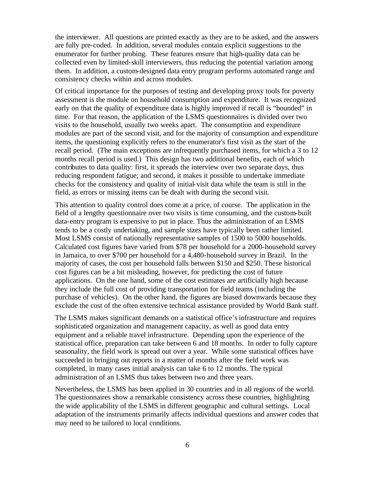the interviewer. All questions are printed exactly as they are to be asked, and the answers are fully pre-coded. In addition, several modules contain explicit suggestions to the enumerator for further probing. These features ensure that high-quality data can be collected even by limited-skill interviewers, thus reducing the potential variation among them. In addition, a custom-designed data entry program performs automated range and consistency checks within and across modules.

Of critical importance for the purposes of testing and developing proxy tools for poverty assessment is the module on household consumption and expenditure. It was recognized early on that the quality of expenditure data is highly improved if recall is "bounded" in time. For that reason, the application of the LSMS questionnaires is divided over two visits to the household, usually two weeks apart. The consumption and expenditure modules are part of the second visit, and for the majority of consumption and expenditure items, the questioning explicitly refers to the enumerator's first visit as the start of the recall period. (The main exceptions are infrequently purchased items, for which a 3 to 12 months recall period is used.) This design has two additional benefits, each of which contributes to data quality: first, it spreads the interview over two separate days, thus reducing respondent fatigue; and second, it makes it possible to undertake immediate checks for the consistency and quality of initial-visit data while the team is still in the field, as errors or missing items can be dealt with during the second visit.

This attention to quality control does come at a price, of course. The application in the field of a lengthy questionnaire over two visits is time consuming, and the custom-built data-entry program is expensive to put in place. Thus the administration of an LSMS tends to be a costly undertaking, and sample sizes have typically been rather limited. Most LSMS consist of nationally representative samples of 1500 to 5000 households. Calculated cost figures have varied from \$78 per household for a 2000-household survey in Jamaica, to over \$700 per household for a 4,480-household survey in Brazil. In the majority of cases, the cost per household falls between \$150 and \$250. These historical cost figures can be a bit misleading, however, for predicting the cost of future applications. On the one hand, some of the cost estimates are artificially high because they include the full cost of providing transportation for field teams (including the purchase of vehicles). On the other hand, the figures are biased downwards because they exclude the cost of the often extensive technical assistance provided by World Bank staff.

The LSMS makes significant demands on a statistical office's infrastructure and requires sophisticated organization and management capacity, as well as good data entry equipment and a reliable travel infrastructure. Depending upon the experience of the statistical office, preparation can take between 6 and 18 months. In order to fully capture seasonality, the field work is spread out over a year. While some statistical offices have succeeded in bringing out reports in a matter of months after the field work was completed, in many cases initial analysis can take 6 to 12 months. The typical administration of an LSMS thus takes between two and three years.

Nevertheless, the LSMS has been applied in 30 countries and in all regions of the world. The questionnaires show a remarkable consistency across these countries, highlighting the wide applicability of the LSMS in different geographic and cultural settings. Local adaptation of the instruments primarily affects individual questions and answer codes that may need to be tailored to local conditions.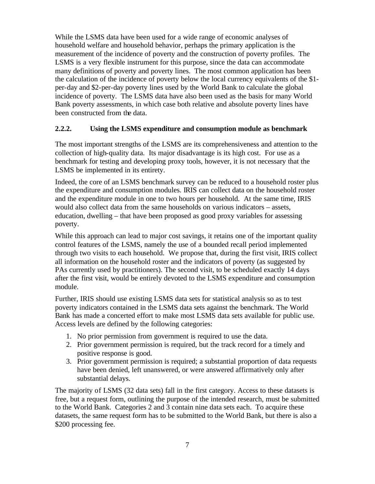While the LSMS data have been used for a wide range of economic analyses of household welfare and household behavior, perhaps the primary application is the measurement of the incidence of poverty and the construction of poverty profiles. The LSMS is a very flexible instrument for this purpose, since the data can accommodate many definitions of poverty and poverty lines. The most common application has been the calculation of the incidence of poverty below the local currency equivalents of the \$1 per-day and \$2-per-day poverty lines used by the World Bank to calculate the global incidence of poverty. The LSMS data have also been used as the basis for many World Bank poverty assessments, in which case both relative and absolute poverty lines have been constructed from the data.

#### **2.2.2. Using the LSMS expenditure and consumption module as benchmark**

The most important strengths of the LSMS are its comprehensiveness and attention to the collection of high-quality data. Its major disadvantage is its high cost. For use as a benchmark for testing and developing proxy tools, however, it is not necessary that the LSMS be implemented in its entirety.

Indeed, the core of an LSMS benchmark survey can be reduced to a household roster plus the expenditure and consumption modules. IRIS can collect data on the household roster and the expenditure module in one to two hours per household. At the same time, IRIS would also collect data from the same households on various indicators – assets, education, dwelling – that have been proposed as good proxy variables for assessing poverty.

While this approach can lead to major cost savings, it retains one of the important quality control features of the LSMS, namely the use of a bounded recall period implemented through two visits to each household. We propose that, during the first visit, IRIS collect all information on the household roster and the indicators of poverty (as suggested by PAs currently used by practitioners). The second visit, to be scheduled exactly 14 days after the first visit, would be entirely devoted to the LSMS expenditure and consumption module.

Further, IRIS should use existing LSMS data sets for statistical analysis so as to test poverty indicators contained in the LSMS data sets against the benchmark. The World Bank has made a concerted effort to make most LSMS data sets available for public use. Access levels are defined by the following categories:

- 1. No prior permission from government is required to use the data.
- 2. Prior government permission is required, but the track record for a timely and positive response is good.
- 3. Prior government permission is required; a substantial proportion of data requests have been denied, left unanswered, or were answered affirmatively only after substantial delays.

The majority of LSMS (32 data sets) fall in the first category. Access to these datasets is free, but a request form, outlining the purpose of the intended research, must be submitted to the World Bank. Categories 2 and 3 contain nine data sets each. To acquire these datasets, the same request form has to be submitted to the World Bank, but there is also a \$200 processing fee.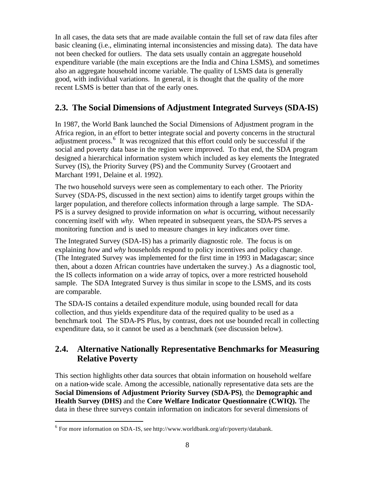In all cases, the data sets that are made available contain the full set of raw data files after basic cleaning (i.e., eliminating internal inconsistencies and missing data). The data have not been checked for outliers. The data sets usually contain an aggregate household expenditure variable (the main exceptions are the India and China LSMS), and sometimes also an aggregate household income variable. The quality of LSMS data is generally good, with individual variations. In general, it is thought that the quality of the more recent LSMS is better than that of the early ones.

### **2.3. The Social Dimensions of Adjustment Integrated Surveys (SDA-IS)**

In 1987, the World Bank launched the Social Dimensions of Adjustment program in the Africa region, in an effort to better integrate social and poverty concerns in the structural adjustment process.<sup>6</sup> It was recognized that this effort could only be successful if the social and poverty data base in the region were improved. To that end, the SDA program designed a hierarchical information system which included as key elements the Integrated Survey (IS), the Priority Survey (PS) and the Community Survey (Grootaert and Marchant 1991, Delaine et al. 1992).

The two household surveys were seen as complementary to each other. The Priority Survey (SDA-PS, discussed in the next section) aims to identify target groups within the larger population, and therefore collects information through a large sample. The SDA-PS is a survey designed to provide information on *what* is occurring, without necessarily concerning itself with *why.* When repeated in subsequent years, the SDA-PS serves a monitoring function and is used to measure changes in key indicators over time.

The Integrated Survey (SDA-IS) has a primarily diagnostic role. The focus is on explaining *how* and *why* households respond to policy incentives and policy change. (The Integrated Survey was implemented for the first time in 1993 in Madagascar; since then, about a dozen African countries have undertaken the survey.) As a diagnostic tool, the IS collects information on a wide array of topics, over a more restricted household sample. The SDA Integrated Survey is thus similar in scope to the LSMS, and its costs are comparable.

The SDA-IS contains a detailed expenditure module, using bounded recall for data collection, and thus yields expenditure data of the required quality to be used as a benchmark tool. The SDA-PS Plus, by contrast, does not use bounded recall in collecting expenditure data, so it cannot be used as a benchmark (see discussion below).

### **2.4. Alternative Nationally Representative Benchmarks for Measuring Relative Poverty**

This section highlights other data sources that obtain information on household welfare on a nation-wide scale. Among the accessible, nationally representative data sets are the **Social Dimensions of Adjustment Priority Survey (SDA-PS)**, the **Demographic and Health Survey (DHS)** and the **Core Welfare Indicator Questionnaire (CWIQ).** The data in these three surveys contain information on indicators for several dimensions of

 6 For more information on SDA-IS, see http://www.worldbank.org/afr/poverty/databank.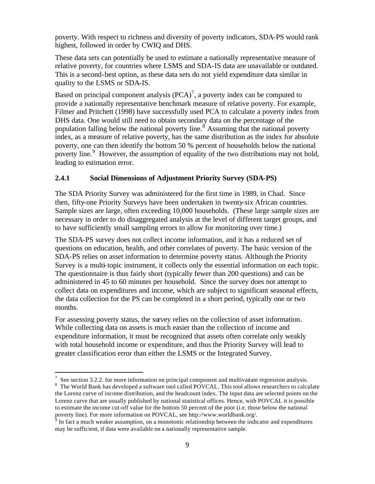poverty. With respect to richness and diversity of poverty indicators, SDA-PS would rank highest, followed in order by CWIQ and DHS.

These data sets can potentially be used to estimate a nationally representative measure of relative poverty, for countries where LSMS and SDA-IS data are unavailable or outdated. This is a second-best option, as these data sets do not yield expenditure data similar in quality to the LSMS or SDA-IS.

Based on principal component analysis  $(PCA)^7$ , a poverty index can be computed to provide a nationally representative benchmark measure of relative poverty. For example, Filmer and Pritchett (1998) have successfully used PCA to calculate a poverty index from DHS data. One would still need to obtain secondary data on the percentage of the population falling below the national poverty line.<sup>8</sup> Assuming that the national poverty index, as a measure of relative poverty, has the same distribution as the index for absolute poverty, one can then identify the bottom 50 % percent of households below the national poverty line.<sup>9</sup> However, the assumption of equality of the two distributions may not hold, leading to estimation error.

#### **2.4.1 Social Dimensions of Adjustment Priority Survey (SDA-PS)**

The SDA Priority Survey was administered for the first time in 1989, in Chad. Since then, fifty-one Priority Surveys have been undertaken in twenty-six African countries. Sample sizes are large, often exceeding 10,000 households. (These large sample sizes are necessary in order to do disaggregated analysis at the level of different target groups, and to have sufficiently small sampling errors to allow for monitoring over time.)

The SDA-PS survey does not collect income information, and it has a reduced set of questions on education, health, and other correlates of poverty. The basic version of the SDA-PS relies on asset information to determine poverty status. Although the Priority Survey is a multi-topic instrument, it collects only the essential information on each topic. The questionnaire is thus fairly short (typically fewer than 200 questions) and can be administered in 45 to 60 minutes per household. Since the survey does not attempt to collect data on expenditures and income, which are subject to significant seasonal effects, the data collection for the PS can be completed in a short period, typically one or two months.

For assessing poverty status, the survey relies on the collection of asset information. While collecting data on assets is much easier than the collection of income and expenditure information, it must be recognized that assets often correlate only weakly with total household income or expenditure, and thus the Priority Survey will lead to greater classification error than either the LSMS or the Integrated Survey.

 $^7$  See section 3.2.2. for more information on principal component and multivariate regression analysis.

<sup>&</sup>lt;sup>8</sup> The World Bank has developed a software tool called POVCAL. This tool allows researchers to calculate the Lorenz curve of income distribution, and the headcount index. The input data are selected points on the Lorenz curve that are usually published by national statistical offices. Hence, with POVCAL it is possible to estimate the income cut-off value for the bottom 50 percent of the poor (i.e. those below the national poverty line). For more information on POVCAL, see http://www.worldbank.org/.

 $\overline{9}$  In fact a much weaker assumption, on a monotonic relationship between the indicator and expenditures may be sufficient, if data were available on a nationally representative sample.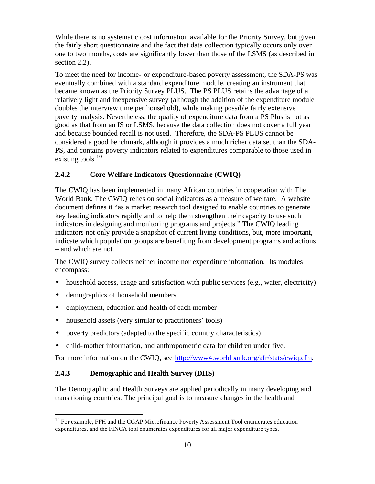While there is no systematic cost information available for the Priority Survey, but given the fairly short questionnaire and the fact that data collection typically occurs only over one to two months, costs are significantly lower than those of the LSMS (as described in section 2.2).

To meet the need for income- or expenditure-based poverty assessment, the SDA-PS was eventually combined with a standard expenditure module, creating an instrument that became known as the Priority Survey PLUS. The PS PLUS retains the advantage of a relatively light and inexpensive survey (although the addition of the expenditure module doubles the interview time per household), while making possible fairly extensive poverty analysis. Nevertheless, the quality of expenditure data from a PS Plus is not as good as that from an IS or LSMS, because the data collection does not cover a full year and because bounded recall is not used. Therefore, the SDA-PS PLUS cannot be considered a good benchmark, although it provides a much richer data set than the SDA-PS, and contains poverty indicators related to expenditures comparable to those used in existing tools. $10$ 

#### **2.4.2 Core Welfare Indicators Questionnaire (CWIQ)**

The CWIQ has been implemented in many African countries in cooperation with The World Bank. The CWIQ relies on social indicators as a measure of welfare. A website document defines it "as a market research tool designed to enable countries to generate key leading indicators rapidly and to help them strengthen their capacity to use such indicators in designing and monitoring programs and projects." The CWIQ leading indicators not only provide a snapshot of current living conditions, but, more important, indicate which population groups are benefiting from development programs and actions – and which are not.

The CWIQ survey collects neither income nor expenditure information. Its modules encompass:

- household access, usage and satisfaction with public services (e.g., water, electricity)
- demographics of household members

 $\overline{a}$ 

- employment, education and health of each member
- household assets (very similar to practitioners' tools)
- poverty predictors (adapted to the specific country characteristics)
- child-mother information, and anthropometric data for children under five.

For more information on the CWIQ, see http://www4.worldbank.org/afr/stats/cwiq.cfm.

#### **2.4.3 Demographic and Health Survey (DHS)**

The Demographic and Health Surveys are applied periodically in many developing and transitioning countries. The principal goal is to measure changes in the health and

<sup>&</sup>lt;sup>10</sup> For example, FFH and the CGAP Microfinance Poverty Assessment Tool enumerates education expenditures, and the FINCA tool enumerates expenditures for all major expenditure types.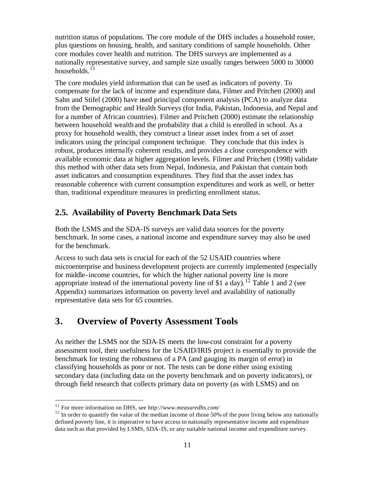nutrition status of populations. The core module of the DHS includes a household roster, plus questions on housing, health, and sanitary conditions of sample households. Other core modules cover health and nutrition. The DHS surveys are implemented as a nationally representative survey, and sample size usually ranges between 5000 to 30000 households.<sup>11</sup>

The core modules yield information that can be used as indicators of poverty. To compensate for the lack of income and expenditure data, Filmer and Pritchett (2000) and Sahn and Stifel (2000) have used principal component analysis (PCA) to analyze data from the Demographic and Health Surveys (for India, Pakistan, Indonesia, and Nepal and for a number of African countries). Filmer and Pritchett (2000) estimate the relationship between household wealth and the probability that a child is enrolled in school. As a proxy for household wealth, they construct a linear asset index from a set of asset indicators using the principal component technique. They conclude that this index is robust, produces interna lly coherent results, and provides a close correspondence with available economic data at higher aggregation levels. Filmer and Pritchett (1998) validate this method with other data sets from Nepal, Indonesia, and Pakistan that contain both asset indicators and consumption expenditures. They find that the asset index has reasonable coherence with current consumption expenditures and work as well, or better than, traditional expenditure measures in predicting enrollment status.

#### **2.5. Availability of Poverty Benchmark Data Sets**

Both the LSMS and the SDA-IS surveys are valid data sources for the poverty benchmark. In some cases, a national income and expenditure survey may also be used for the benchmark.

Access to such data sets is crucial for each of the 52 USAID countries where microenterprise and business development projects are currently implemented (especially for middle-income countries, for which the higher national poverty line is more appropriate instead of the international poverty line of \$1 a day).<sup>12</sup> Table 1 and 2 (see Appendix) summarizes information on poverty level and availability of nationally representative data sets for 65 countries.

### **3. Overview of Poverty Assessment Tools**

As neither the LSMS nor the SDA-IS meets the low-cost constraint for a poverty assessment tool, their usefulness for the USAID/IRIS project is essentially to provide the benchmark for testing the robustness of a PA (and gauging its margin of error) in classifying households as poor or not. The tests can be done either using existing secondary data (including data on the poverty benchmark and on poverty indicators), or through field research that collects primary data on poverty (as with LSMS) and on

<sup>11</sup> For more information on DHS, see *http://www.measuredhs.com/*

 $12$  In order to quantify the value of the median income of those 50% of the poor living below any nationally defined poverty line, it is imperative to have access to nationally representative income and expenditure data such as that provided by LSMS, SDA-IS, or any suitable national income and expenditure survey.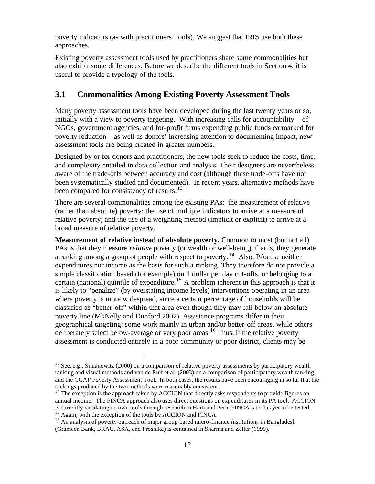poverty indicators (as with practitioners' tools). We suggest that IRIS use both these approaches.

Existing poverty assessment tools used by practitioners share some commonalities but also exhibit some differences. Before we describe the different tools in Section 4, it is useful to provide a typology of the tools.

#### **3.1 Commonalities Among Existing Poverty Assessment Tools**

Many poverty assessment tools have been developed during the last twenty years or so, initially with a view to poverty targeting. With increasing calls for accountability – of NGOs, government agencies, and for-profit firms expending public funds earmarked for poverty reduction – as well as donors' increasing attention to documenting impact, new assessment tools are being created in greater numbers.

Designed by or for donors and practitioners, the new tools seek to reduce the costs, time, and complexity entailed in data collection and analysis. Their designers are nevertheless aware of the trade-offs between accuracy and cost (although these trade-offs have not been systematically studied and documented). In recent years, alternative methods have been compared for consistency of results.<sup>13</sup>

There are several commonalities among the existing PAs: the measurement of relative (rather than absolute) poverty; the use of multiple indicators to arrive at a measure of relative poverty; and the use of a weighting method (implicit or explicit) to arrive at a broad measure of relative poverty.

**Measurement of relative instead of absolute poverty.** Common to most (but not all) PAs is that they measure *relative* poverty (or wealth or well-being), that is, they generate a ranking among a group of people with respect to poverty. <sup>14</sup> Also, PAs use neither expenditures nor income as the basis for such a ranking. They therefore do not provide a simple classification based (for example) on 1 dollar per day cut-offs, or belonging to a certain (national) quintile of expenditure.<sup>15</sup> A problem inherent in this approach is that it is likely to "penalize" (by overstating income levels) interventions operating in an area where poverty is more widespread, since a certain percentage of households will be classified as "better-off" within that area even though they may fall below an absolute poverty line (MkNelly and Dunford 2002). Assistance programs differ in their geographical targeting: some work mainly in urban and/or better-off areas, while others deliberately select below-average or very poor areas.<sup>16</sup> Thus, if the relative poverty assessment is conducted entirely in a poor community or poor district, clients may be

<sup>&</sup>lt;sup>13</sup> See, e.g,. Simanowitz (2000) on a comparison of relative poverty assessments by participatory wealth ranking and visual methods and van de Ruit et al. (2003) on a comparison of participatory wealth ranking and the CGAP Poverty Assessment Tool. In both cases, the results have been encouraging in so far that the rankings produced by the two methods were reasonably consistent.

<sup>&</sup>lt;sup>14</sup> The exception is the approach taken by ACCION that directly asks respondents to provide figures on annual income. The FINCA approach also uses direct questions on expenditures in its PA tool. ACCION is currently validating its own tools through research in Haiti and Peru. FINCA's tool is yet to be tested. <sup>15</sup> Again, with the exception of the tools by ACCION and FINCA.

<sup>&</sup>lt;sup>16</sup> An analysis of poverty outreach of major group-based micro-finance institutions in Bangladesh (Grameen Bank, BRAC, ASA, and Proshika) is contained in Sharma and Zeller (1999).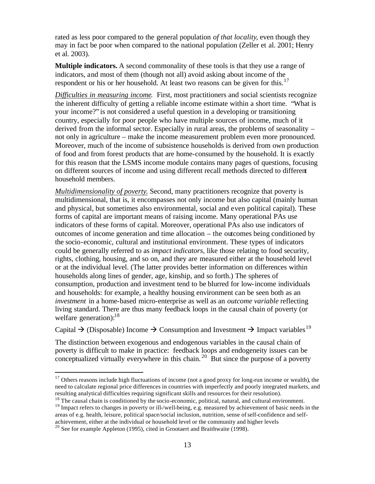rated as less poor compared to the general population *of that locality*, even though they may in fact be poor when compared to the national population (Zeller et al. 2001; Henry et al. 2003).

**Multiple indicators.** A second commonality of these tools is that they use a range of indicators, and most of them (though not all) avoid asking about income of the respondent or his or her household. At least two reasons can be given for this.<sup>17</sup>

*Difficulties in measuring income.* First, most practitioners and social scientists recognize the inherent difficulty of getting a reliable income estimate within a short time. "What is your income?" is not considered a useful question in a developing or transitioning country, especially for poor people who have multiple sources of income, much of it derived from the informal sector. Especially in rural areas, the problems of seasonality – not only in agriculture – make the income measurement problem even more pronounced. Moreover, much of the income of subsistence households is derived from own production of food and from forest products that are home-consumed by the household. It is exactly for this reason that the LSMS income module contains many pages of questions, focusing on different sources of income and using different recall methods directed to different household members.

*Multidimensionality of poverty*. Second, many practitioners recognize that poverty is multidimensional, that is, it encompasses not only income but also capital (mainly human and physical, but sometimes also environmental, social and even political capital). These forms of capital are important means of raising income. Many operational PAs use indicators of these forms of capital. Moreover, operational PAs also use indicators of outcomes of income generation and time allocation – the outcomes being conditioned by the socio-economic, cultural and institutional environment. These types of indicators could be generally referred to as *impact indicators*, like those relating to food security, rights, clothing, housing, and so on, and they are measured either at the household level or at the individual level. (The latter provides better information on differences within households along lines of gender, age, kinship, and so forth.) The spheres of consumption, production and investment tend to be blurred for low-income individuals and households: for example, a healthy housing environment can be seen both as an *investment* in a home-based micro-enterprise as well as an *outcome variable* reflecting living standard. There are thus many feedback loops in the causal chain of poverty (or welfare generation):<sup>18</sup>

Capital  $\rightarrow$  (Disposable) Income  $\rightarrow$  Consumption and Investment  $\rightarrow$  Impact variables<sup>19</sup>

The distinction between exogenous and endogenous variables in the causal chain of poverty is difficult to make in practice: feedback loops and endogeneity issues can be conceptualized virtually everywhere in this chain.<sup>20</sup> But since the purpose of a poverty

<sup>&</sup>lt;sup>17</sup> Others reasons include high fluctuations of income (not a good proxy for long-run income or wealth), the need to calculate regional price differences in countries with imperfectly and poorly integrated markets, and resulting analytical difficulties requiring significant skills and resources for their resolution).

 $18$  The causal chain is conditioned by the socio-economic, political, natural, and cultural environment. <sup>19</sup> Impact refers to changes in poverty or ill-/well-being, e.g. measured by achievement of basic needs in the areas of e.g. health, leisure, political space/social inclusion, nutrition, sense of self-confidence and selfachievement, either at the individual or household level or the community and higher levels

<sup>&</sup>lt;sup>20</sup> See for example Appleton (1995), cited in Grootaert and Braithwaite (1998).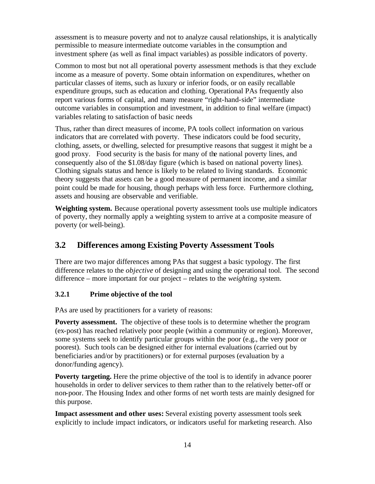assessment is to measure poverty and not to analyze causal relationships, it is analytically permissible to measure intermediate outcome variables in the consumption and investment sphere (as well as final impact variables) as possible indicators of poverty.

Common to most but not all operational poverty assessment methods is that they exclude income as a measure of poverty. Some obtain information on expenditures, whether on particular classes of items, such as luxury or inferior foods, or on easily recallable expenditure groups, such as education and clothing. Operational PAs frequently also report various forms of capital, and many measure "right-hand-side" intermediate outcome variables in consumption and investment, in addition to final welfare (impact) variables relating to satisfaction of basic needs

Thus, rather than direct measures of income, PA tools collect information on various indicators that are correlated with poverty. These indicators could be food security, clothing, assets, or dwelling, selected for presumptive reasons that suggest it might be a good proxy. Food security is the basis for many of the national poverty lines, and consequently also of the \$1.08/day figure (which is based on national poverty lines). Clothing signals status and hence is likely to be related to living standards. Economic theory suggests that assets can be a good measure of permanent income, and a similar point could be made for housing, though perhaps with less force. Furthermore clothing, assets and housing are observable and verifiable.

**Weighting system.** Because operational poverty assessment tools use multiple indicators of poverty, they normally apply a weighting system to arrive at a composite measure of poverty (or well-being).

#### **3.2 Differences among Existing Poverty Assessment Tools**

There are two major differences among PAs that suggest a basic typology. The first difference relates to the *objective* of designing and using the operational tool. The second difference – more important for our project – relates to the *weighting* system.

#### **3.2.1 Prime objective of the tool**

PAs are used by practitioners for a variety of reasons:

**Poverty assessment.** The objective of these tools is to determine whether the program (ex-post) has reached relatively poor people (within a community or region). Moreover, some systems seek to identify particular groups within the poor (e.g., the very poor or poorest). Such tools can be designed either for internal evaluations (carried out by beneficiaries and/or by practitioners) or for external purposes (evaluation by a donor/funding agency).

**Poverty targeting.** Here the prime objective of the tool is to identify in advance poorer households in order to deliver services to them rather than to the relatively better-off or non-poor. The Housing Index and other forms of net worth tests are mainly designed for this purpose.

**Impact assessment and other uses:** Several existing poverty assessment tools seek explicitly to include impact indicators, or indicators useful for marketing research. Also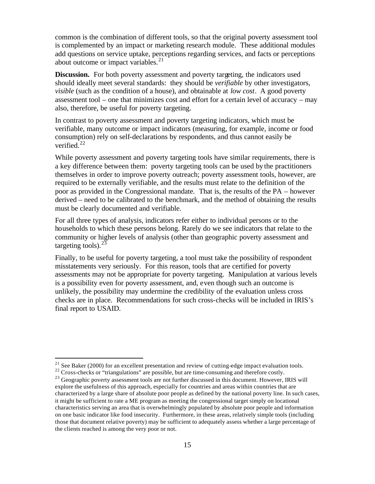common is the combination of different tools, so that the original poverty assessment tool is complemented by an impact or marketing research module. These additional modules add questions on service uptake, perceptions regarding services, and facts or perceptions about outcome or impact variables. $21$ 

**Discussion.** For both poverty assessment and poverty targeting, the indicators used should ideally meet several standards: they should be *verifiable* by other investigators, *visible* (such as the condition of a house), and obtainable at *low cost*. A good poverty assessment tool – one that minimizes cost and effort for a certain level of accuracy – may also, therefore, be useful for poverty targeting.

In contrast to poverty assessment and poverty targeting indicators, which must be verifiable, many outcome or impact indicators (measuring, for example, income or food consumption) rely on self-declarations by respondents, and thus cannot easily be verified. $22$ 

While poverty assessment and poverty targeting tools have similar requirements, there is a key difference between them: poverty targeting tools can be used by the practitioners themselves in order to improve poverty outreach; poverty assessment tools, however, are required to be externally verifiable, and the results must relate to the definition of the poor as provided in the Congressional mandate. That is, the results of the PA – however derived – need to be calibrated to the benchmark, and the method of obtaining the results must be clearly documented and verifiable.

For all three types of analysis, indicators refer either to individual persons or to the households to which these persons belong. Rarely do we see indicators that relate to the community or higher levels of analysis (other than geographic poverty assessment and targeting tools).  $23$ 

Finally, to be useful for poverty targeting, a tool must take the possibility of respondent misstatements very seriously. For this reason, tools that are certified for poverty assessments may not be appropriate for poverty targeting. Manipulation at various levels is a possibility even for poverty assessment, and, even though such an outcome is unlikely, the possibility may undermine the credibility of the evaluation unless cross checks are in place. Recommendations for such cross-checks will be included in IRIS's final report to USAID.

 $21$  See Baker (2000) for an excellent presentation and review of cutting-edge impact evaluation tools.

<sup>&</sup>lt;sup>22</sup> Cross-checks or "triangulations" are possible, but are time-consuming and therefore costly.

 $^{23}$  Geographic poverty assessment tools are not further discussed in this document. However, IRIS will explore the usefulness of this approach, especially for countries and areas within countries that are characterized by a large share of absolute poor people as defined by the national poverty line. In such cases, it might be sufficient to rate a ME program as meeting the congressional target simply on locational characteristics serving an area that is overwhelmingly populated by absolute poor people and information on one basic indicator like food insecurity. Furthermore, in these areas, relatively simple tools (including those that document relative poverty) may be sufficient to adequately assess whether a large percentage of the clients reached is among the very poor or not.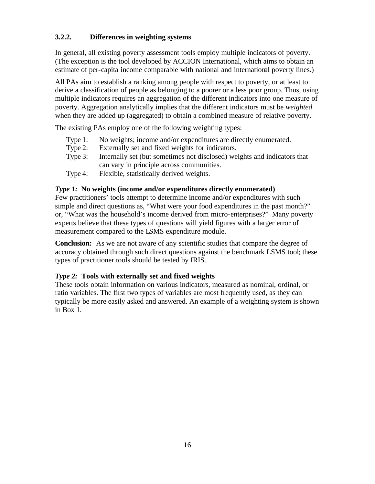#### **3.2.2. Differences in weighting systems**

In general, all existing poverty assessment tools employ multiple indicators of poverty. (The exception is the tool developed by ACCION International, which aims to obtain an estimate of per-capita income comparable with national and international poverty lines.)

All PAs aim to establish a ranking among people with respect to poverty, or at least to derive a classification of people as belonging to a poorer or a less poor group. Thus, using multiple indicators requires an aggregation of the different indicators into one measure of poverty. Aggregation analytically implies that the different indicators must be *weighted* when they are added up (aggregated) to obtain a combined measure of relative poverty.

The existing PAs employ one of the following weighting types:

- Type 1: No weights; income and/or expenditures are directly enumerated.
- Type 2: Externally set and fixed weights for indicators.
- Type 3: Internally set (but sometimes not disclosed) weights and indicators that can vary in principle across communities.
- Type 4: Flexible, statistically derived weights.

#### *Type 1:* **No weights (income and/or expenditures directly enumerated)**

Few practitioners' tools attempt to determine income and/or expenditures with such simple and direct questions as, "What were your food expenditures in the past month?" or, "What was the household's income derived from micro-enterprises?" Many poverty experts believe that these types of questions will yield figures with a larger error of measurement compared to the LSMS expenditure module.

**Conclusion:** As we are not aware of any scientific studies that compare the degree of accuracy obtained through such direct questions against the benchmark LSMS tool; these types of practitioner tools should be tested by IRIS.

#### *Type 2:* **Tools with externally set and fixed weights**

These tools obtain information on various indicators, measured as nominal, ordinal, or ratio variables. The first two types of variables are most frequently used, as they can typically be more easily asked and answered. An example of a weighting system is shown in Box 1.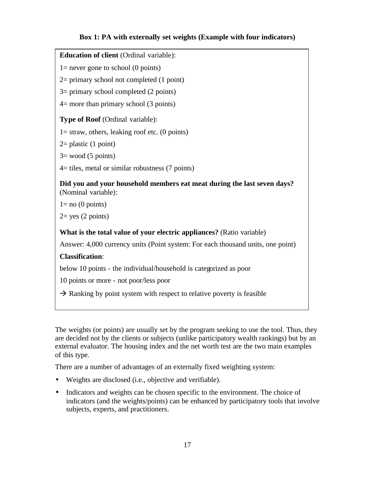#### **Box 1: PA with externally set weights (Example with four indicators)**

 $1=$  never gone to school  $(0 \text{ points})$ 

2= primary school not completed (1 point)

3= primary school completed (2 points)

4= more than primary school (3 points)

**Type of Roof** (Ordinal variable):

 $1=$  straw, others, leaking roof etc. (0 points)

 $2=$  plastic (1 point)

 $3=$  wood (5 points)

4= tiles, metal or similar robustness (7 points)

**Did you and your household members eat meat during the last seven days?**  (Nominal variable):

 $1=$  no  $(0$  points)

 $2 = yes (2 points)$ 

#### **What is the total value of your electric appliances?** (Ratio variable)

Answer: 4,000 currency units (Point system: For each thousand units, one point)

#### **Classification**:

below 10 points - the individual/household is categorized as poor

10 points or more - not poor/less poor

 $\rightarrow$  Ranking by point system with respect to relative poverty is feasible

The weights (or points) are usually set by the program seeking to use the tool. Thus, they are decided not by the clients or subjects (unlike participatory wealth rankings) but by an external evaluator. The housing index and the net worth test are the two main examples of this type.

There are a number of advantages of an externally fixed weighting system:

- Weights are disclosed (i.e., objective and verifiable).
- Indicators and weights can be chosen specific to the environment. The choice of indicators (and the weights/points) can be enhanced by participatory tools that involve subjects, experts, and practitioners.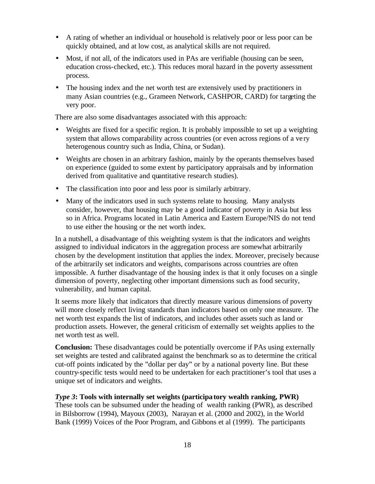- A rating of whether an individual or household is relatively poor or less poor can be quickly obtained, and at low cost, as analytical skills are not required.
- Most, if not all, of the indicators used in PAs are verifiable (housing can be seen, education cross-checked, etc.). This reduces moral hazard in the poverty assessment process.
- The housing index and the net worth test are extensively used by practitioners in many Asian countries (e.g., Grameen Network, CASHPOR, CARD) for targeting the very poor.

There are also some disadvantages associated with this approach:

- Weights are fixed for a specific region. It is probably impossible to set up a weighting system that allows comparability across countries (or even across regions of a ve ry heterogenous country such as India, China, or Sudan).
- Weights are chosen in an arbitrary fashion, mainly by the operants themselves based on experience (guided to some extent by participatory appraisals and by information derived from qualitative and quantitative research studies).
- The classification into poor and less poor is similarly arbitrary.
- Many of the indicators used in such systems relate to housing. Many analysts consider, however, that housing may be a good indicator of poverty in Asia but less so in Africa. Programs located in Latin America and Eastern Europe/NIS do not tend to use either the housing or the net worth index.

In a nutshell, a disadvantage of this weighting system is that the indicators and weights assigned to individual indicators in the aggregation process are somewhat arbitrarily chosen by the development institution that applies the index. Moreover, precisely because of the arbitrarily set indicators and weights, comparisons across countries are often impossible. A further disadvantage of the housing index is that it only focuses on a single dimension of poverty, neglecting other important dimensions such as food security, vulnerability, and human capital.

It seems more likely that indicators that directly measure various dimensions of poverty will more closely reflect living standards than indicators based on only one measure. The net worth test expands the list of indicators, and includes other assets such as land or production assets. However, the general criticism of externally set weights applies to the net worth test as well.

**Conclusion:** These disadvantages could be potentially overcome if PAs using externally set weights are tested and calibrated against the benchmark so as to determine the critical cut-off points indicated by the "dollar per day" or by a national poverty line. But these country-specific tests would need to be undertaken for each practitioner's tool that uses a unique set of indicators and weights.

*Type 3***: Tools with internally set weights (participatory wealth ranking, PWR)**  These tools can be subsumed under the heading of wealth ranking (PWR), as described in Bilsborrow (1994), Mayoux (2003), Narayan et al. (2000 and 2002), in the World Bank (1999) Voices of the Poor Program, and Gibbons et al (1999). The participants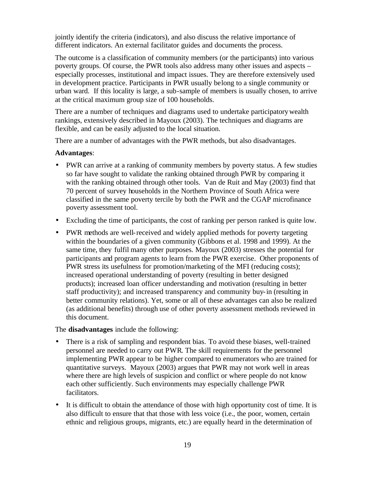jointly identify the criteria (indicators), and also discuss the relative importance of different indicators. An external facilitator guides and documents the process.

The outcome is a classification of community members (or the participants) into various poverty groups. Of course, the PWR tools also address many other issues and aspects – especially processes, institutional and impact issues. They are therefore extensively used in development practice. Participants in PWR usually belong to a single community or urban ward. If this locality is large, a sub-sample of members is usually chosen, to arrive at the critical maximum group size of 100 households.

There are a number of techniques and diagrams used to undertake participatory wealth rankings, extensively described in Mayoux (2003). The techniques and diagrams are flexible, and can be easily adjusted to the local situation.

There are a number of advantages with the PWR methods, but also disadvantages.

#### **Advantages**:

- PWR can arrive at a ranking of community members by poverty status. A few studies so far have sought to validate the ranking obtained through PWR by comparing it with the ranking obtained through other tools. Van de Ruit and May (2003) find that 70 percent of survey households in the Northern Province of South Africa were classified in the same poverty tercile by both the PWR and the CGAP microfinance poverty assessment tool.
- Excluding the time of participants, the cost of ranking per person ranked is quite low.
- PWR methods are well-received and widely applied methods for poverty targeting within the boundaries of a given community (Gibbons et al. 1998 and 1999). At the same time, they fulfil many other purposes. Mayoux (2003) stresses the potential for participants and program agents to learn from the PWR exercise. Other proponents of PWR stress its usefulness for promotion/marketing of the MFI (reducing costs); increased operational understanding of poverty (resulting in better designed products); increased loan officer understanding and motivation (resulting in better staff productivity); and increased transparency and community buy-in (resulting in better community relations). Yet, some or all of these advantages can also be realized (as additional benefits) through use of other poverty assessment methods reviewed in this document.

The **disadvantages** include the following:

- There is a risk of sampling and respondent bias. To avoid these biases, well-trained personnel are needed to carry out PWR. The skill requirements for the personnel implementing PWR appear to be higher compared to enumerators who are trained for quantitative surveys. Mayoux (2003) argues that PWR may not work well in areas where there are high levels of suspicion and conflict or where people do not know each other sufficiently. Such environments may especially challenge PWR facilitators.
- It is difficult to obtain the attendance of those with high opportunity cost of time. It is also difficult to ensure that that those with less voice (i.e., the poor, women, certain ethnic and religious groups, migrants, etc.) are equally heard in the determination of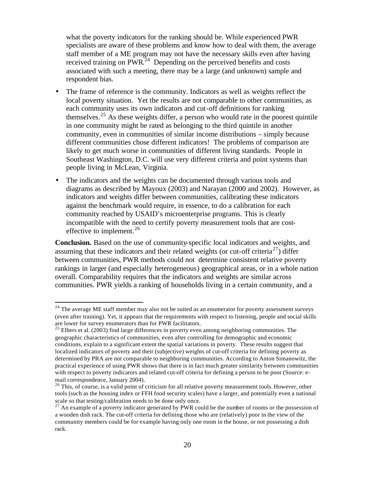what the poverty indicators for the ranking should be. While experienced PWR specialists are aware of these problems and know how to deal with them, the average staff member of a ME program may not have the necessary skills even after having received training on  $\text{PWR}^{24}$  Depending on the perceived benefits and costs associated with such a meeting, there may be a large (and unknown) sample and respondent bias.

- The frame of reference is the community. Indicators as well as weights reflect the local poverty situation. Yet the results are not comparable to other communities, as each community uses its own indicators and cut-off definitions for ranking themselves.<sup>25</sup> As these weights differ, a person who would rate in the poorest quintile in one community might be rated as belonging to the third quintile in another community, even in communities of similar income distributions – simply because different communities chose different indicators! The problems of comparison are likely to get much worse in communities of different living standards. People in Southeast Washington, D.C. will use very different criteria and point systems than people living in McLean, Virginia.
- The indicators and the weights can be documented through various tools and diagrams as described by Mayoux (2003) and Narayan (2000 and 2002). However, as indicators and weights differ between communities, calibrating these indicators against the benchmark would require, in essence, to do a calibration for each community reached by USAID's microenterprise programs. This is clearly incompatible with the need to certify poverty measurement tools that are costeffective to implement.<sup>26</sup>

**Conclusion.** Based on the use of community-specific local indicators and weights, and assuming that these indicators and their related weights (or cut-off criteria<sup>27</sup>) differ between communities, PWR methods could not determine consistent relative poverty rankings in larger (and especially heterogeneous) geographical areas, or in a whole nation overall. Comparability requires that the indicators and weights are similar across communities. PWR yields a ranking of households living in a certain community, and a

 $24$  The average ME staff member may also not be suited as an enumerator for poverty assessment surveys (even after training). Yet, it appears that the requirements with respect to listening, people and social skills are lower for survey enumerators than for PWR facilitators.

 $25$  Elbers et al. (2003) find large differences in poverty even among neighboring communities. The geographic characteristics of communities, even after controlling for demographic and economic conditions, explain to a significant extent the spatial variations in poverty. These results suggest that localized indicators of poverty and their (subjective) weights of cut-off criteria for defining poverty as determined by PRA are not comparable to neighboring communities. According to Anton Simanowitz, the practical experience of using PWR shows that there is in fact much greater similarity between communities with respect to poverty indicators and related cut-off criteria for defining a person to be poor (Source: email correspondence, January 2004).

<sup>&</sup>lt;sup>26</sup> This, of course, is a valid point of criticism for all relative poverty measurement tools. However, other tools (such as the housing index or FFH food security scales) have a larger, and potentially even a national scale so that testing/calibration needs to be done only once.

<sup>&</sup>lt;sup>27</sup> An example of a poverty indicator generated by PWR could be the number of rooms or the possession of a wooden dish rack. The cut-off criteria for defining those who are (relatively) poor in the view of the community members could be for example having only one room in the house, or not possessing a dish rack.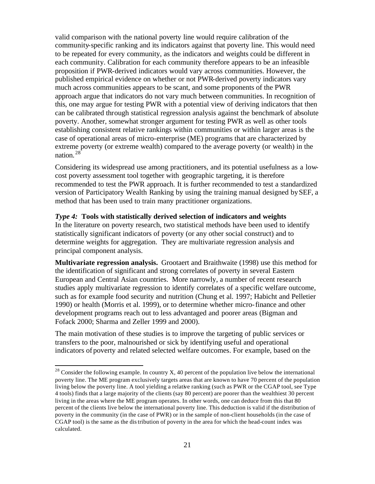valid comparison with the national poverty line would require calibration of the community-specific ranking and its indicators against that poverty line. This would need to be repeated for every community, as the indicators and weights could be different in each community. Calibration for each community therefore appears to be an infeasible proposition if PWR-derived indicators would vary across communities. However, the published empirical evidence on whether or not PWR-derived poverty indicators vary much across communities appears to be scant, and some proponents of the PWR approach argue that indicators do not vary much between communities. In recognition of this, one may argue for testing PWR with a potential view of deriving indicators that then can be calibrated through statistical regression analysis against the benchmark of absolute poverty. Another, somewhat stronger argument for testing PWR as well as other tools establishing consistent relative rankings within communities or within larger areas is the case of operational areas of micro-enterprise (ME) programs that are characterized by extreme poverty (or extreme wealth) compared to the average poverty (or wealth) in the nation.<sup>28</sup>

Considering its widespread use among practitioners, and its potential usefulness as a lowcost poverty assessment tool together with geographic targeting, it is therefore recommended to test the PWR approach. It is further recommended to test a standardized version of Participatory Wealth Ranking by using the training manual designed by SEF, a method that has been used to train many practitioner organizations.

#### *Type 4:* **Tools with statistically derived selection of indicators and weights**

In the literature on poverty research, two statistical methods have been used to identify statistically significant indicators of poverty (or any other social construct) and to determine weights for aggregation. They are multivariate regression analysis and principal component analysis.

**Multivariate regression analysis.** Grootaert and Braithwaite (1998) use this method for the identification of significant and strong correlates of poverty in several Eastern European and Central Asian countries. More narrowly, a number of recent research studies apply multivariate regression to identify correlates of a specific welfare outcome, such as for example food security and nutrition (Chung et al. 1997; Habicht and Pelletier 1990) or health (Morris et al. 1999), or to determine whether micro-finance and other development programs reach out to less advantaged and poorer areas (Bigman and Fofack 2000; Sharma and Zeller 1999 and 2000).

The main motivation of these studies is to improve the targeting of public services or transfers to the poor, malnourished or sick by identifying useful and operational indicators of poverty and related selected welfare outcomes. For example, based on the

 $^{28}$  Consider the following example. In country X, 40 percent of the population live below the international poverty line. The ME program exclusively targets areas that are known to have 70 percent of the population living below the poverty line. A tool yielding a relative ranking (such as PWR or the CGAP tool, see Type 4 tools) finds that a large majority of the clients (say 80 percent) are poorer than the wealthiest 30 percent living in the areas where the ME program operates. In other words, one can deduce from this that 80 percent of the clients live below the international poverty line. This deduction is valid if the distribution of poverty in the community (in the case of PWR) or in the sample of non-client households (in the case of CGAP tool) is the same as the distribution of poverty in the area for which the head-count index was calculated.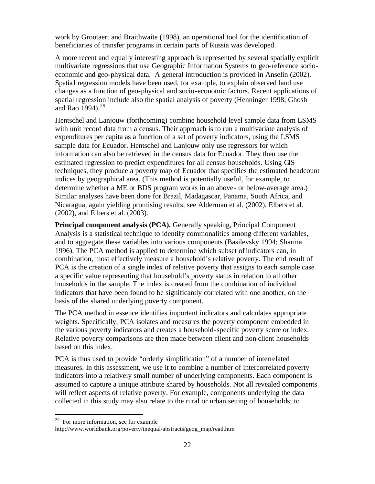work by Grootaert and Braithwaite (1998), an operational tool for the identification of beneficiaries of transfer programs in certain parts of Russia was developed.

A more recent and equally interesting approach is represented by several spatially explicit multivariate regressions that use Geographic Information Systems to geo-reference socioeconomic and geo-physical data. A general introduction is provided in Anselin (2002). Spatial regression models have been used, for example, to explain observed land use changes as a function of geo-physical and socio-economic factors. Recent applications of spatial regression include also the spatial analysis of poverty (Henninger 1998; Ghosh and Rao  $1994$ ).<sup>29</sup>

Hentschel and Lanjouw (forthcoming) combine household level sample data from LSMS with unit record data from a census. Their approach is to run a multivariate analysis of expenditures per capita as a function of a set of poverty indicators, using the LSMS sample data for Ecuador. Hentschel and Lanjouw only use regressors for which information can also be retrieved in the census data for Ecuador. They then use the estimated regression to predict expenditures for all census households. Using GIS techniques, they produce a poverty map of Ecuador that specifies the estimated headcount indices by geographical area. (This method is potentially useful, for example, to determine whether a ME or BDS program works in an above- or below-average area.) Similar analyses have been done for Brazil, Madagascar, Panama, South Africa, and Nicaragua, again yielding promising results; see Alderman et al. (2002), Elbers et al. (2002), and Elbers et al. (2003).

**Principal component analysis (PCA).** Generally speaking, Principal Component Analysis is a statistical technique to identify commonalities among different variables, and to aggregate these variables into various components (Basilevsky 1994; Sharma 1996). The PCA method is applied to determine which subset of indicators can, in combination, most effectively measure a household's relative poverty. The end result of PCA is the creation of a single index of relative poverty that assigns to each sample case a specific value representing that household's poverty status in relation to all other households in the sample. The index is created from the combination of individual indicators that have been found to be significantly correlated with one another, on the basis of the shared underlying poverty component.

The PCA method in essence identifies important indicators and calculates appropriate weights. Specifically, PCA isolates and measures the poverty component embedded in the various poverty indicators and creates a household-specific poverty score or index. Relative poverty comparisons are then made between client and non-client households based on this index.

PCA is thus used to provide "orderly simplification" of a number of interrelated measures. In this assessment, we use it to combine a number of intercorrelated poverty indicators into a relatively small number of underlying components. Each component is assumed to capture a unique attribute shared by households. Not all revealed components will reflect aspects of relative poverty. For example, components underlying the data collected in this study may also relate to the rural or urban setting of households; to

<sup>29</sup> For more information, see for example

http://www.worldbank.org/poverty/inequal/abstracts/geog\_map/read.htm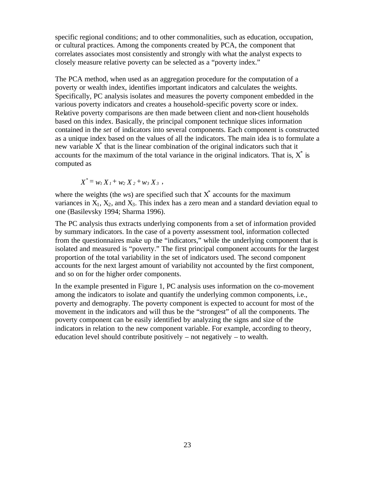specific regional conditions; and to other commonalities, such as education, occupation, or cultural practices. Among the components created by PCA, the component that correlates associates most consistently and strongly with what the analyst expects to closely measure relative poverty can be selected as a "poverty index."

The PCA method, when used as an aggregation procedure for the computation of a poverty or wealth index, identifies important indicators and calculates the weights. Specifically, PC analysis isolates and measures the poverty component embedded in the various poverty indicators and creates a household-specific poverty score or index. Relative poverty comparisons are then made between client and non-client households based on this index. Basically, the principal component technique slices information contained in the *set* of indicators into several components. Each component is constructed as a unique index based on the values of all the indicators. The main idea is to formulate a new variable  $X^*$  that is the linear combination of the original indicators such that it accounts for the maximum of the total variance in the original indicators. That is,  $X^*$  is computed as

$$
X^* = w_1 X_1 + w_2 X_2 + w_3 X_3,
$$

where the weights (the  $ws$ ) are specified such that  $X^*$  accounts for the maximum variances in  $X_1$ ,  $X_2$ , and  $X_3$ . This index has a zero mean and a standard deviation equal to one (Basilevsky 1994; Sharma 1996).

The PC analysis thus extracts underlying components from a set of information provided by summary indicators. In the case of a poverty assessment tool, information collected from the questionnaires make up the "indicators," while the underlying component that is isolated and measured is "poverty." The first principal component accounts for the largest proportion of the total variability in the set of indicators used. The second component accounts for the next largest amount of variability not accounted by the first component, and so on for the higher order components.

In the example presented in Figure 1, PC analysis uses information on the co-movement among the indicators to isolate and quantify the underlying common components, i.e., poverty and demography. The poverty component is expected to account for most of the movement in the indicators and will thus be the "strongest" of all the components. The poverty component can be easily identified by analyzing the signs and size of the indicators in relation to the new component variable. For example, according to theory, education level should contribute positively – not negatively – to wealth.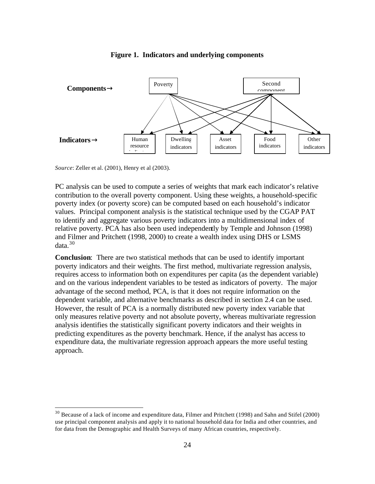

**Figure 1. Indicators and underlying components**

*Source*: Zeller et al. (2001), Henry et al (2003).

 $\overline{a}$ 

PC analysis can be used to compute a series of weights that mark each indicator's relative contribution to the overall poverty component. Using these weights, a household-specific poverty index (or poverty score) can be computed based on each household's indicator values. Principal component analysis is the statistical technique used by the CGAP PAT to identify and aggregate various poverty indicators into a multidimensional index of relative poverty. PCA has also been used independently by Temple and Johnson (1998) and Filmer and Pritchett (1998, 2000) to create a wealth index using DHS or LSMS  $data<sup>30</sup>$ 

**Conclusion**: There are two statistical methods that can be used to identify important poverty indicators and their weights. The first method, multivariate regression analysis, requires access to information both on expenditures per capita (as the dependent variable) and on the various independent variables to be tested as indicators of poverty. The major advantage of the second method, PCA, is that it does not require information on the dependent variable, and alternative benchmarks as described in section 2.4 can be used. However, the result of PCA is a normally distributed new poverty index variable that only measures relative poverty and not absolute poverty, whereas multivariate regression analysis identifies the statistically significant poverty indicators and their weights in predicting expenditures as the poverty benchmark. Hence, if the analyst has access to expenditure data, the multivariate regression approach appears the more useful testing approach.

 $30$  Because of a lack of income and expenditure data, Filmer and Pritchett (1998) and Sahn and Stifel (2000) use principal component analysis and apply it to national household data for India and other countries, and for data from the Demographic and Health Surveys of many African countries, respectively.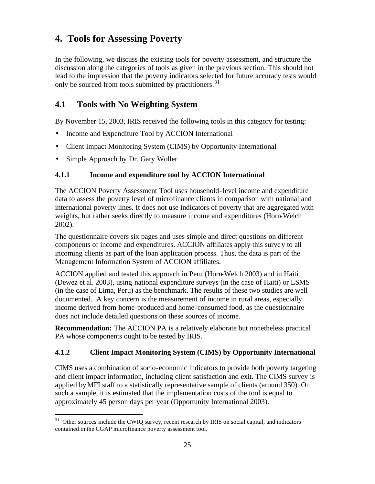### **4. Tools for Assessing Poverty**

In the following, we discuss the existing tools for poverty assessment, and structure the discussion along the categories of tools as given in the previous section. This should not lead to the impression that the poverty indicators selected for future accuracy tests would only be sourced from tools submitted by practitioners.<sup>31</sup>

### **4.1 Tools with No Weighting System**

By November 15, 2003, IRIS received the following tools in this category for testing:

- Income and Expenditure Tool by ACCION International
- Client Impact Monitoring System (CIMS) by Opportunity International
- Simple Approach by Dr. Gary Woller

 $\overline{a}$ 

#### **4.1.1 Income and expenditure tool by ACCION International**

The ACCION Poverty Assessment Tool uses household-level income and expenditure data to assess the poverty level of microfinance clients in comparison with national and international poverty lines. It does not use indicators of poverty that are aggregated with weights, but rather seeks directly to measure income and expenditures (Horn-Welch 2002).

The questionnaire covers six pages and uses simple and direct questions on different components of income and expenditures. ACCION affiliates apply this survey to all incoming clients as part of the loan application process. Thus, the data is part of the Management Information System of ACCION affiliates.

ACCION applied and tested this approach in Peru (Horn-Welch 2003) and in Haiti (Dewez et al. 2003), using national expenditure surveys (in the case of Haiti) or LSMS (in the case of Lima, Peru) as the benchmark. The results of these two studies are well documented. A key concern is the measurement of income in rural areas, especially income derived from home-produced and home-consumed food, as the questionnaire does not include detailed questions on these sources of income.

**Recommendation:** The ACCION PA is a relatively elaborate but nonetheless practical PA whose components ought to be tested by IRIS.

#### **4.1.2 Client Impact Monitoring System (CIMS) by Opportunity International**

CIMS uses a combination of socio-economic indicators to provide both poverty targeting and client impact information, including client satisfaction and exit. The CIMS survey is applied by MFI staff to a statistically representative sample of clients (around 350). On such a sample, it is estimated that the implementation costs of the tool is equal to approximately 45 person days per year (Opportunity International 2003).

<sup>&</sup>lt;sup>31</sup> Other sources include the CWIQ survey, recent research by IRIS on social capital, and indicators contained in the CGAP microfinance poverty assessment tool.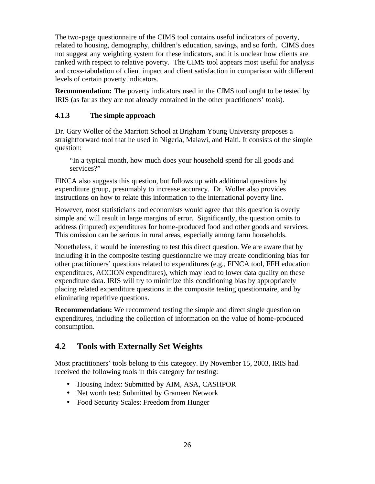The two-page questionnaire of the CIMS tool contains useful indicators of poverty, related to housing, demography, children's education, savings, and so forth. CIMS does not suggest any weighting system for these indicators, and it is unclear how clients are ranked with respect to relative poverty. The CIMS tool appears most useful for analysis and cross-tabulation of client impact and client satisfaction in comparison with different levels of certain poverty indicators.

**Recommendation:** The poverty indicators used in the CIMS tool ought to be tested by IRIS (as far as they are not already contained in the other practitioners' tools).

#### **4.1.3 The simple approach**

Dr. Gary Woller of the Marriott School at Brigham Young University proposes a straightforward tool that he used in Nigeria, Malawi, and Haiti. It consists of the simple question:

"In a typical month, how much does your household spend for all goods and services?"

FINCA also suggests this question, but follows up with additional questions by expenditure group, presumably to increase accuracy. Dr. Woller also provides instructions on how to relate this information to the international poverty line.

However, most statisticians and economists would agree that this question is overly simple and will result in large margins of error. Significantly, the question omits to address (imputed) expenditures for home-produced food and other goods and services. This omission can be serious in rural areas, especially among farm households.

Nonetheless, it would be interesting to test this direct question. We are aware that by including it in the composite testing questionnaire we may create conditioning bias for other practitioners' questions related to expenditures (e.g., FINCA tool, FFH education expenditures, ACCION expenditures), which may lead to lower data quality on these expenditure data. IRIS will try to minimize this conditioning bias by appropriately placing related expenditure questions in the composite testing questionnaire, and by eliminating repetitive questions.

**Recommendation:** We recommend testing the simple and direct single question on expenditures, including the collection of information on the value of home-produced consumption.

### **4.2 Tools with Externally Set Weights**

Most practitioners' tools belong to this category. By November 15, 2003, IRIS had received the following tools in this category for testing:

- Housing Index: Submitted by AIM, ASA, CASHPOR
- Net worth test: Submitted by Grameen Network
- Food Security Scales: Freedom from Hunger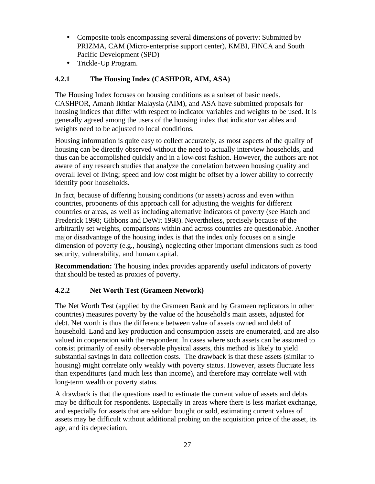- Composite tools encompassing several dimensions of poverty: Submitted by PRIZMA, CAM (Micro-enterprise support center), KMBI, FINCA and South Pacific Development (SPD)
- Trickle-Up Program.

#### **4.2.1 The Housing Index (CASHPOR, AIM, ASA)**

The Housing Index focuses on housing conditions as a subset of basic needs. CASHPOR, Amanh Ikhtiar Malaysia (AIM), and ASA have submitted proposals for housing indices that differ with respect to indicator variables and weights to be used. It is generally agreed among the users of the housing index that indicator variables and weights need to be adjusted to local conditions.

Housing information is quite easy to collect accurately, as most aspects of the quality of housing can be directly observed without the need to actually interview households, and thus can be accomplished quickly and in a low-cost fashion. However, the authors are not aware of any research studies that analyze the correlation between housing quality and overall level of living; speed and low cost might be offset by a lower ability to correctly identify poor households.

In fact, because of differing housing conditions (or assets) across and even within countries, proponents of this approach call for adjusting the weights for different countries or areas, as well as including alternative indicators of poverty (see Hatch and Frederick 1998; Gibbons and DeWit 1998). Nevertheless, precisely because of the arbitrarily set weights, comparisons within and across countries are questionable. Another major disadvantage of the housing index is that the index only focuses on a single dimension of poverty (e.g., housing), neglecting other important dimensions such as food security, vulnerability, and human capital.

**Recommendation:** The housing index provides apparently useful indicators of poverty that should be tested as proxies of poverty.

#### **4.2.2 Net Worth Test (Grameen Network)**

The Net Worth Test (applied by the Grameen Bank and by Grameen replicators in other countries) measures poverty by the value of the household's main assets, adjusted for debt. Net worth is thus the difference between value of assets owned and debt of household. Land and key production and consumption assets are enumerated, and are also valued in cooperation with the respondent. In cases where such assets can be assumed to consist primarily of easily observable physical assets, this method is likely to yield substantial savings in data collection costs. The drawback is that these assets (similar to housing) might correlate only weakly with poverty status. However, assets fluctuate less than expenditures (and much less than income), and therefore may correlate well with long-term wealth or poverty status.

A drawback is that the questions used to estimate the current value of assets and debts may be difficult for respondents. Especially in areas where there is less market exchange, and especially for assets that are seldom bought or sold, estimating current values of assets may be difficult without additional probing on the acquisition price of the asset, its age, and its depreciation.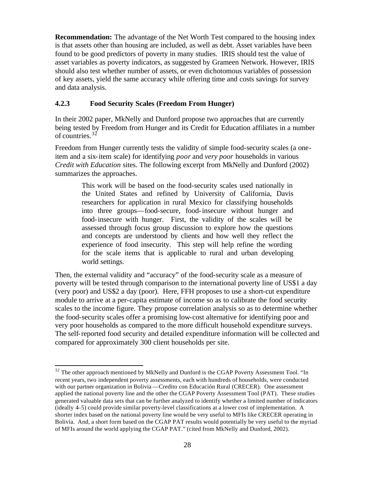**Recommendation:** The advantage of the Net Worth Test compared to the housing index is that assets other than housing are included, as well as debt. Asset variables have been found to be good predictors of poverty in many studies. IRIS should test the value of asset variables as poverty indicators, as suggested by Grameen Network. However, IRIS should also test whether number of assets, or even dichotomous variables of possession of key assets, yield the same accuracy while offering time and costs savings for survey and data analysis.

#### **4.2.3 Food Security Scales (Freedom From Hunger)**

In their 2002 paper, MkNelly and Dunford propose two approaches that are currently being tested by Freedom from Hunger and its Credit for Education affiliates in a number of countries.<sup>32</sup>

Freedom from Hunger currently tests the validity of simple food-security scales (a oneitem and a six-item scale) for identifying *poor* and *very poor* households in various *Credit with Education* sites. The following excerpt from MkNelly and Dunford (2002) summarizes the approaches.

> This work will be based on the food-security scales used nationally in the United States and refined by University of California, Davis researchers for application in rural Mexico for classifying households into three groups—food-secure, food-insecure without hunger and food-insecure with hunger. First, the validity of the scales will be assessed through focus group discussion to explore how the questions and concepts are understood by clients and how well they reflect the experience of food insecurity. This step will help refine the wording for the scale items that is applicable to rural and urban developing world settings.

Then, the external validity and "accuracy" of the food-security scale as a measure of poverty will be tested through comparison to the international poverty line of US\$1 a day (very poor) and US\$2 a day (poor). Here, FFH proposes to use a short-cut expenditure module to arrive at a per-capita estimate of income so as to calibrate the food security scales to the income figure. They propose correlation analysis so as to determine whether the food-security scales offer a promising low-cost alternative for identifying poor and very poor households as compared to the more difficult household expenditure surveys. The self-reported food security and detailed expenditure information will be collected and compared for approximately 300 client households per site.

<sup>&</sup>lt;sup>32</sup> The other approach mentioned by MkNelly and Dunford is the CGAP Poverty Assessment Tool. "In recent years, two independent poverty assessments, each with hundreds of households, were conducted with our partner organization in Bolivia—Credito con Educación Rural (CRECER). One assessment applied the national poverty line and the other the CGAP Poverty Assessment Tool (PAT). These studies generated valuable data sets that can be further analyzed to identify whether a limited number of indicators (ideally 4–5) could provide similar poverty-level classifications at a lower cost of implementation. A shorter index based on the national poverty line would be very useful to MFIs like CRECER operating in Bolivia. And, a short form based on the CGAP PAT results would potentially be very useful to the myriad of MFIs around the world applying the CGAP PAT." (cited from MkNelly and Dunford, 2002).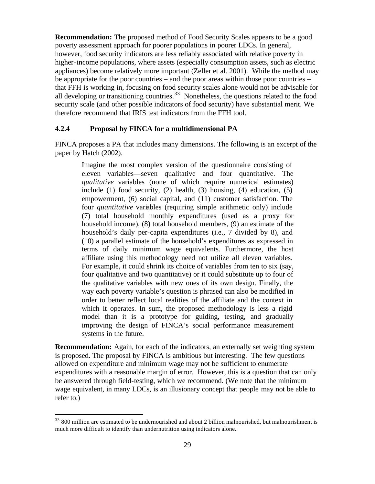**Recommendation:** The proposed method of Food Security Scales appears to be a good poverty assessment approach for poorer populations in poorer LDCs. In general, however, food security indicators are less reliably associated with relative poverty in higher-income populations, where assets (especially consumption assets, such as electric appliances) become relatively more important (Zeller et al. 2001). While the method may be appropriate for the poor countries – and the poor areas within those poor countries – that FFH is working in, focusing on food security scales alone would not be advisable for all developing or transitioning countries.<sup>33</sup> Nonetheless, the questions related to the food security scale (and other possible indicators of food security) have substantial merit. We therefore recommend that IRIS test indicators from the FFH tool.

#### **4.2.4 Proposal by FINCA for a multidimensional PA**

FINCA proposes a PA that includes many dimensions. The following is an excerpt of the paper by Hatch (2002).

> Imagine the most complex version of the questionnaire consisting of eleven variables—seven qualitative and four quantitative. The *qualitative* variables (none of which require numerical estimates) include (1) food security, (2) health, (3) housing, (4) education, (5) empowerment, (6) social capital, and (11) customer satisfaction. The four *quantitative* variables (requiring simple arithmetic only) include (7) total household monthly expenditures (used as a proxy for household income), (8) total household members, (9) an estimate of the household's daily per-capita expenditures (i.e., 7 divided by 8), and (10) a parallel estimate of the household's expenditures as expressed in terms of daily minimum wage equivalents. Furthermore, the host affiliate using this methodology need not utilize all eleven variables. For example, it could shrink its choice of variables from ten to six (say, four qualitative and two quantitative) or it could substitute up to four of the qualitative variables with new ones of its own design. Finally, the way each poverty variable's question is phrased can also be modified in order to better reflect local realities of the affiliate and the context in which it operates. In sum, the proposed methodology is less a rigid model than it is a prototype for guiding, testing, and gradually improving the design of FINCA's social performance measurement systems in the future.

**Recommendation:** Again, for each of the indicators, an externally set weighting system is proposed. The proposal by FINCA is ambitious but interesting. The few questions allowed on expenditure and minimum wage may not be sufficient to enumerate expenditures with a reasonable margin of error. However, this is a question that can only be answered through field-testing, which we recommend. (We note that the minimum wage equivalent, in many LDCs, is an illusionary concept that people may not be able to refer to.)

<sup>&</sup>lt;sup>33</sup> 800 million are estimated to be undernourished and about 2 billion malnourished, but malnourishment is much more difficult to identify than undernutrition using indicators alone.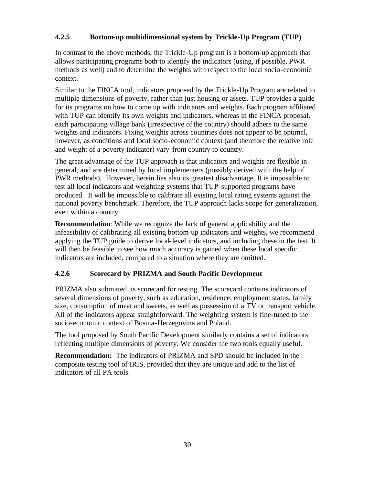#### **4.2.5 Bottom-up multidimensional system by Trickle-Up Program (TUP)**

In contrast to the above methods, the Trickle-Up program is a bottom-up approach that allows participating programs both to identify the indicators (using, if possible, PWR methods as well) and to determine the weights with respect to the local socio-economic context.

Similar to the FINCA tool, indicators proposed by the Trickle-Up Program are related to multiple dimensions of poverty, rather than just housing or assets. TUP provides a guide for its programs on how to come up with indicators and weights. Each program affiliated with TUP can identify its own weights and indicators, whereas in the FINCA proposal, each participating village bank (irrespective of the country) should adhere to the same weights and indicators. Fixing weights across countries does not appear to be optimal, however, as conditions and local socio-economic context (and therefore the relative role and weight of a poverty indicator) vary from country to country.

The great advantage of the TUP approach is that indicators and weights are flexible in general, and are determined by local implementers (possibly derived with the help of PWR methods). However, herein lies also its greatest disadvantage. It is impossible to test all local indicators and weighting systems that TUP-supported programs have produced. It will be impossible to calibrate all existing local rating systems against the national poverty benchmark. Therefore, the TUP approach lacks scope for generalization, even within a country.

**Recommendation**: While we recognize the lack of general applicability and the infeasibility of calibrating all existing bottom-up indicators and weights, we recommend applying the TUP guide to derive local-level indicators, and including these in the test. It will then be feasible to see how much accuracy is gained when these local specific indicators are included, compared to a situation where they are omitted.

#### **4.2.6 Scorecard by PRIZMA and South Pacific Development**

PRIZMA also submitted its scorecard for testing. The scorecard contains indicators of several dimensions of poverty, such as education, residence, employment status, family size, consumption of meat and sweets, as well as possession of a TV or transport vehicle. All of the indicators appear straightforward. The weighting system is fine-tuned to the socio-economic context of Bosnia-Herzegovina and Poland.

The tool proposed by South Pacific Development similarly contains a set of indicators reflecting multiple dimensions of poverty. We consider the two tools equally useful.

**Recommendation:** The indicators of PRIZMA and SPD should be included in the composite testing tool of IRIS, provided that they are unique and add to the list of indicators of all PA tools.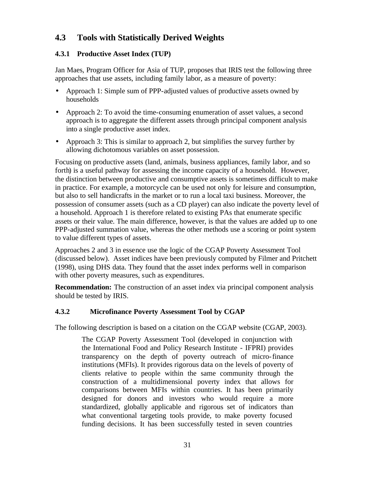### **4.3 Tools with Statistically Derived Weights**

#### **4.3.1 Productive Asset Index (TUP)**

Jan Maes, Program Officer for Asia of TUP, proposes that IRIS test the following three approaches that use assets, including family labor, as a measure of poverty:

- Approach 1: Simple sum of PPP-adjusted values of productive assets owned by households
- Approach 2: To avoid the time-consuming enumeration of asset values, a second approach is to aggregate the different assets through principal component analysis into a single productive asset index.
- Approach 3: This is similar to approach 2, but simplifies the survey further by allowing dichotomous variables on asset possession.

Focusing on productive assets (land, animals, business appliances, family labor, and so forth) is a useful pathway for assessing the income capacity of a household. However, the distinction between productive and consumptive assets is sometimes difficult to make in practice. For example, a motorcycle can be used not only for leisure and consumption, but also to sell handicrafts in the market or to run a local taxi business. Moreover, the possession of consumer assets (such as a CD player) can also indicate the poverty level of a household. Approach 1 is therefore related to existing PAs that enumerate specific assets or their value. The main difference, however, is that the values are added up to one PPP-adjusted summation value, whereas the other methods use a scoring or point system to value different types of assets.

Approaches 2 and 3 in essence use the logic of the CGAP Poverty Assessment Tool (discussed below). Asset indices have been previously computed by Filmer and Pritchett (1998), using DHS data. They found that the asset index performs well in comparison with other poverty measures, such as expenditures.

**Recommendation:** The construction of an asset index via principal component analysis should be tested by IRIS.

#### **4.3.2 Microfinance Poverty Assessment Tool by CGAP**

The following description is based on a citation on the CGAP website (CGAP, 2003).

The CGAP Poverty Assessment Tool (developed in conjunction with the International Food and Policy Research Institute - IFPRI) provides transparency on the depth of poverty outreach of micro-finance institutions (MFIs). It provides rigorous data on the levels of poverty of clients relative to people within the same community through the construction of a multidimensional poverty index that allows for comparisons between MFIs within countries. It has been primarily designed for donors and investors who would require a more standardized, globally applicable and rigorous set of indicators than what conventional targeting tools provide, to make poverty focused funding decisions. It has been successfully tested in seven countries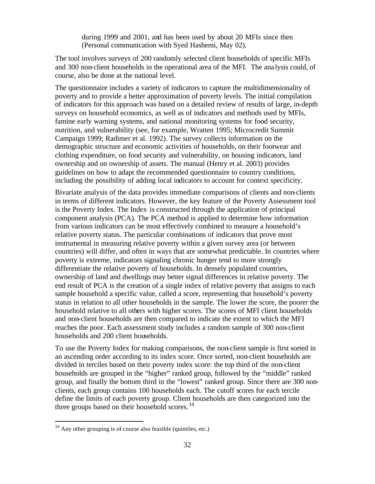during 1999 and 2001, and has been used by about 20 MFIs since then (Personal communication with Syed Hashemi, May 02).

The tool involves surveys of 200 randomly selected client households of specific MFIs and 300 non-client households in the operational area of the MFI. The ana lysis could, of course, also be done at the national level.

The questionnaire includes a variety of indicators to capture the multidimensionality of poverty and to provide a better approximation of poverty levels. The initial compilation of indicators for this approach was based on a detailed review of results of large, in-depth surveys on household economics, as well as of indicators and methods used by MFIs, famine early warning systems, and national monitoring systems for food security, nutrition, and vulnerability (see, for example, Wratten 1995; Microcredit Summit Campaign 1999; Radimer et al. 1992). The survey collects information on the demographic structure and economic activities of households, on their footwear and clothing expenditure, on food security and vulnerability, on housing indicators, land ownership and on ownership of assets. The manual (Henry et al. 2003) provides guidelines on how to adapt the recommended questionnaire to country conditions, including the possibility of adding local indicators to account for context specificity.

Bivariate analysis of the data provides immediate comparisons of clients and non-clients in terms of different indicators. However, the key feature of the Poverty Assessment tool is the Poverty Index. The Index is constructed through the application of principal component analysis (PCA). The PCA method is applied to determine how information from various indicators can be most effectively combined to measure a household's relative poverty status. The particular combinations of indicators that prove most instrumental in measuring relative poverty within a given survey area (or between countries) will differ, and often in ways that are somewhat predictable. In countries where poverty is extreme, indicators signaling chronic hunger tend to more strongly differentiate the relative poverty of households. In densely populated countries, ownership of land and dwellings may better signal differences in relative poverty. The end result of PCA is the creation of a single index of relative poverty that assigns to each sample household a specific value, called a score, representing that household's poverty status in relation to all other households in the sample. The lower the score, the poorer the household relative to all others with higher scores. The scores of MFI client households and non-client households are then compared to indicate the extent to which the MFI reaches the poor. Each assessment study includes a random sample of 300 non-client households and 200 client households.

To use the Poverty Index for making comparisons, the non-client sample is first sorted in an ascending order according to its index score. Once sorted, non-client households are divided in terciles based on their poverty index score: the top third of the non-client households are grouped in the "higher" ranked group, followed by the "middle" ranked group, and finally the bottom third in the "lowest" ranked group. Since there are 300 nonclients, each group contains 100 households each. The cutoff scores for each tercile define the limits of each poverty group. Client households are then categorized into the three groups based on their household scores.<sup>34</sup>

 $34$  Any other grouping is of course also feasible (quintiles, etc.)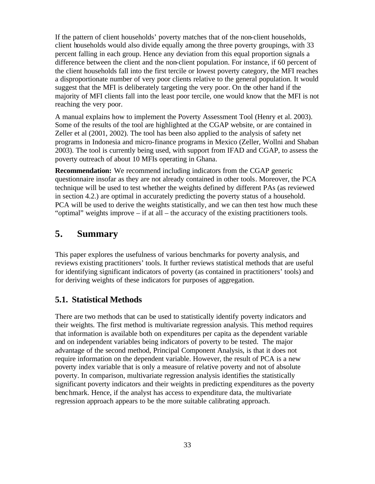If the pattern of client households' poverty matches that of the non-client households, client households would also divide equally among the three poverty groupings, with 33 percent falling in each group. Hence any deviation from this equal proportion signals a difference between the client and the non-client population. For instance, if 60 percent of the client households fall into the first tercile or lowest poverty category, the MFI reaches a disproportionate number of very poor clients relative to the general population. It would suggest that the MFI is deliberately targeting the very poor. On the other hand if the majority of MFI clients fall into the least poor tercile, one would know that the MFI is not reaching the very poor.

A manual explains how to implement the Poverty Assessment Tool (Henry et al. 2003). Some of the results of the tool are highlighted at the CGAP website, or are contained in Zeller et al (2001, 2002). The tool has been also applied to the analysis of safety net programs in Indonesia and micro-finance programs in Mexico (Zeller, Wollni and Shaban 2003). The tool is currently being used, with support from IFAD and CGAP, to assess the poverty outreach of about 10 MFIs operating in Ghana.

**Recommendation:** We recommend including indicators from the CGAP generic questionnaire insofar as they are not already contained in other tools. Moreover, the PCA technique will be used to test whether the weights defined by different PAs (as reviewed in section 4.2.) are optimal in accurately predicting the poverty status of a household. PCA will be used to derive the weights statistically, and we can then test how much these "optimal" weights improve – if at all – the accuracy of the existing practitioners tools.

### **5. Summary**

This paper explores the usefulness of various benchmarks for poverty analysis, and reviews existing practitioners' tools. It further reviews statistical methods that are useful for identifying significant indicators of poverty (as contained in practitioners' tools) and for deriving weights of these indicators for purposes of aggregation.

#### **5.1. Statistical Methods**

There are two methods that can be used to statistically identify poverty indicators and their weights. The first method is multivariate regression analysis. This method requires that information is available both on expenditures per capita as the dependent variable and on independent variables being indicators of poverty to be tested. The major advantage of the second method, Principal Component Analysis, is that it does not require information on the dependent variable. However, the result of PCA is a new poverty index variable that is only a measure of relative poverty and not of absolute poverty. In comparison, multivariate regression analysis identifies the statistically significant poverty indicators and their weights in predicting expenditures as the poverty benchmark. Hence, if the analyst has access to expenditure data, the multivariate regression approach appears to be the more suitable calibrating approach.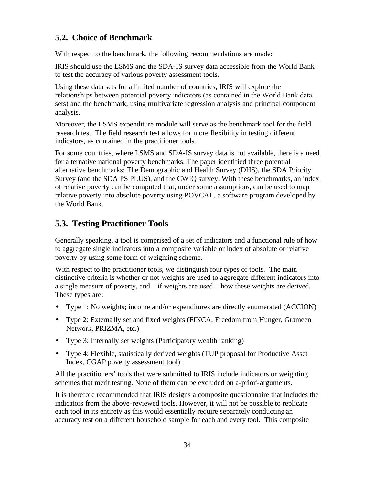### **5.2. Choice of Benchmark**

With respect to the benchmark, the following recommendations are made:

IRIS should use the LSMS and the SDA-IS survey data accessible from the World Bank to test the accuracy of various poverty assessment tools.

Using these data sets for a limited number of countries, IRIS will explore the relationships between potential poverty indicators (as contained in the World Bank data sets) and the benchmark, using multivariate regression analysis and principal component analysis.

Moreover, the LSMS expenditure module will serve as the benchmark tool for the field research test. The field research test allows for more flexibility in testing different indicators, as contained in the practitioner tools.

For some countries, where LSMS and SDA-IS survey data is not available, there is a need for alternative national poverty benchmarks. The paper identified three potential alternative benchmarks: The Demographic and Health Survey (DHS), the SDA Priority Survey (and the SDA PS PLUS), and the CWIQ survey. With these benchmarks, an index of relative poverty can be computed that, under some assumptions, can be used to map relative poverty into absolute poverty using POVCAL, a software program developed by the World Bank.

### **5.3. Testing Practitioner Tools**

Generally speaking, a tool is comprised of a set of indicators and a functional rule of how to aggregate single indicators into a composite variable or index of absolute or relative poverty by using some form of weighting scheme.

With respect to the practitioner tools, we distinguish four types of tools. The main distinctive criteria is whether or not weights are used to aggregate different indicators into a single measure of poverty, and – if weights are used – how these weights are derived. These types are:

- Type 1: No weights; income and/or expenditures are directly enumerated (ACCION)
- Type 2: Externally set and fixed weights (FINCA, Freedom from Hunger, Grameen Network, PRIZMA, etc.)
- Type 3: Internally set weights (Participatory wealth ranking)
- Type 4: Flexible, statistically derived weights (TUP proposal for Productive Asset Index, CGAP poverty assessment tool).

All the practitioners' tools that were submitted to IRIS include indicators or weighting schemes that merit testing. None of them can be excluded on a-priori-arguments.

It is therefore recommended that IRIS designs a composite questionnaire that includes the indicators from the above-reviewed tools. However, it will not be possible to replicate each tool in its entirety as this would essentially require separately conducting an accuracy test on a different household sample for each and every tool. This composite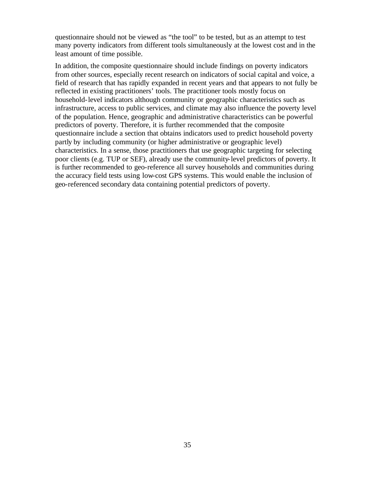questionnaire should not be viewed as "the tool" to be tested, but as an attempt to test many poverty indicators from different tools simultaneously at the lowest cost and in the least amount of time possible.

In addition, the composite questionnaire should include findings on poverty indicators from other sources, especially recent research on indicators of social capital and voice, a field of research that has rapidly expanded in recent years and that appears to not fully be reflected in existing practitioners' tools. The practitioner tools mostly focus on household-level indicators although community or geographic characteristics such as infrastructure, access to public services, and climate may also influence the poverty level of the population. Hence, geographic and administrative characteristics can be powerful predictors of poverty. Therefore, it is further recommended that the composite questionnaire include a section that obtains indicators used to predict household poverty partly by including community (or higher administrative or geographic level) characteristics. In a sense, those practitioners that use geographic targeting for selecting poor clients (e.g. TUP or SEF), already use the community-level predictors of poverty. It is further recommended to geo-reference all survey households and communities during the accuracy field tests using low-cost GPS systems. This would enable the inclusion of geo-referenced secondary data containing potential predictors of poverty.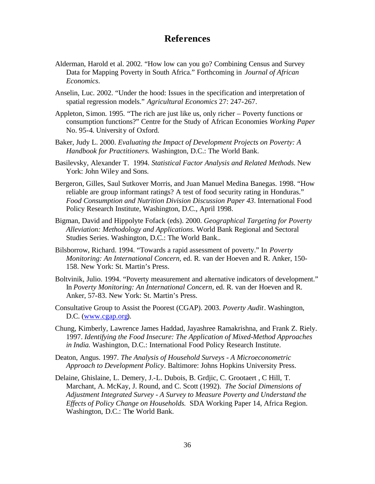### **References**

- Alderman, Harold et al. 2002. "How low can you go? Combining Census and Survey Data for Mapping Poverty in South Africa." Forthcoming in *Journal of African Economics*.
- Anselin, Luc. 2002. "Under the hood: Issues in the specification and interpretation of spatial regression models." *Agricultural Economics* 27: 247-267.
- Appleton, Simon. 1995. "The rich are just like us, only richer Poverty functions or consumption functions?" Centre for the Study of African Economies *Working Paper* No. 95-4. University of Oxford.
- Baker, Judy L. 2000. *Evaluating the Impact of Development Projects on Poverty: A Handbook for Practitioners.* Washington, D.C.: The World Bank.
- Basilevsky, Alexander T. 1994. *Statistical Factor Analysis and Related Methods.* New York: John Wiley and Sons.
- Bergeron, Gilles, Saul Sutkover Morris, and Juan Manuel Medina Banegas. 1998. "How reliable are group informant ratings? A test of food security rating in Honduras." *Food Consumption and Nutrition Division Discussion Paper 43*. International Food Policy Research Institute, Washington, D.C., April 1998.
- Bigman, David and Hippolyte Fofack (eds). 2000. *Geographical Targeting for Poverty Alleviation: Methodology and Applications*. World Bank Regional and Sectoral Studies Series. Washington, D.C.: The World Bank.*.*
- Bilsborrow, Richard. 1994. "Towards a rapid assessment of poverty." In *Poverty Monitoring: An International Concern*, ed. R. van der Hoeven and R. Anker, 150- 158. New York: St. Martin's Press.
- Boltvinik, Julio. 1994. "Poverty measurement and alternative indicators of development." In *Poverty Monitoring: An International Concern*, ed. R. van der Hoeven and R. Anker, 57-83. New York: St. Martin's Press.
- Consultative Group to Assist the Poorest (CGAP). 2003. *Poverty Audit*. Washington, D.C. (www.cgap.org).
- Chung, Kimberly, Lawrence James Haddad, Jayashree Ramakrishna, and Frank Z. Riely. 1997. *Identifying the Food Insecure: The Application of Mixed-Method Approaches in India.* Washington, D.C.: International Food Policy Research Institute.
- Deaton, Angus. 1997. *The Analysis of Household Surveys A Microeconometric Approach to Development Policy*. Baltimore: Johns Hopkins University Press.
- Delaine, Ghislaine, L. Demery, J.-L. Dubois, B. Grdjic, C. Grootaert , C Hill, T. Marchant, A. McKay, J. Round, and C. Scott (1992). *The Social Dimensions of Adjustment Integrated Survey - A Survey to Measure Poverty and Understand the Effects of Policy Change on Households.* SDA Working Paper 14, Africa Region. Washington, D.C.: The World Bank.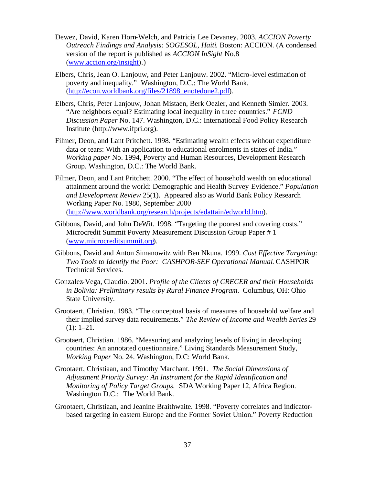- Dewez, David, Karen Horn-Welch, and Patricia Lee Devaney. 2003. *ACCION Poverty Outreach Findings and Analysis: SOGESOL, Haiti*. Boston: ACCION. (A condensed version of the report is published as *ACCION InSight* No.8 (www.accion.org/insight).)
- Elbers, Chris, Jean O. Lanjouw, and Peter Lanjouw. 2002. "Micro-level estimation of poverty and inequality." Washington, D.C.: The World Bank. (http://econ.worldbank.org/files/21898\_enotedone2.pdf).
- Elbers, Chris, Peter Lanjouw, Johan Mistaen, Berk Oezler, and Kenneth Simler. 2003. "Are neighbors equal? Estimating local inequality in three countries." *FCND Discussion Paper* No. 147. Washington, D.C.: International Food Policy Research Institute (http://www.ifpri.org).
- Filmer, Deon, and Lant Pritchett. 1998. "Estimating wealth effects without expenditure data or tears: With an application to educational enrolments in states of India." *Working paper* No. 1994, Poverty and Human Resources, Development Research Group. Washington, D.C.: The World Bank.
- Filmer, Deon, and Lant Pritchett. 2000. "The effect of household wealth on educational attainment around the world: Demographic and Health Survey Evidence." *Population and Development Review* 25(1). Appeared also as World Bank Policy Research Working Paper No. 1980, September 2000 (http://www.worldbank.org/research/projects/edattain/edworld.htm).
- Gibbons, David, and John DeWit. 1998. "Targeting the poorest and covering costs." Microcredit Summit Poverty Measurement Discussion Group Paper # 1 (www.microcreditsummit.org).
- Gibbons, David and Anton Simanowitz with Ben Nkuna. 1999. *Cost Effective Targeting: Two Tools to Identify the Poor: CASHPOR-SEF Operational Manual*. CASHPOR Technical Services.
- Gonzalez-Vega, Claudio. 2001. *Profile of the Clients of CRECER and their Households in Bolivia: Preliminary results by Rural Finance Program*. Columbus, OH: Ohio State University.
- Grootaert, Christian. 1983. "The conceptual basis of measures of household welfare and their implied survey data requirements." *The Review of Income and Wealth Series* 29  $(1): 1-21.$
- Grootaert, Christian. 1986. "Measuring and analyzing levels of living in developing countries: An annotated questionnaire." Living Standards Measurement Study, *Working Paper* No. 24. Washington, D.C: World Bank.
- Grootaert, Christiaan, and Timothy Marchant. 1991. *The Social Dimensions of Adjustment Priority Survey: An Instrument for the Rapid Identification and Monitoring of Policy Target Groups.* SDA Working Paper 12, Africa Region. Washington D.C.: The World Bank.
- Grootaert, Christiaan, and Jeanine Braithwaite. 1998. "Poverty correlates and indicatorbased targeting in eastern Europe and the Former Soviet Union." Poverty Reduction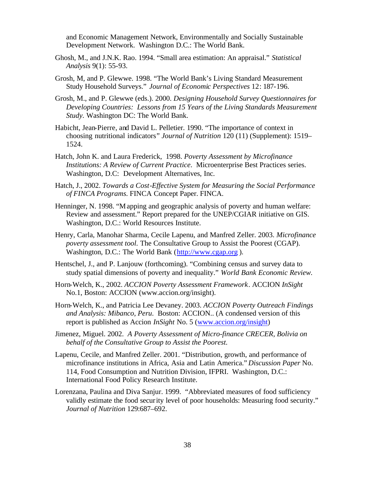and Economic Management Network, Environmentally and Socially Sustainable Development Network. Washington D.C.: The World Bank.

- Ghosh, M., and J.N.K. Rao. 1994. "Small area estimation: An appraisal." *Statistical Analysis* 9(1): 55-93.
- Grosh, M, and P. Glewwe. 1998. "The World Bank's Living Standard Measurement Study Household Surveys." *Journal of Economic Perspectives* 12: 187-196.
- Grosh, M., and P. Glewwe (eds.). 2000. *Designing Household Survey Questionnaires for Developing Countries: Lessons from 15 Years of the Living Standards Measurement Study.* Washington DC: The World Bank.
- Habicht, Jean-Pierre, and David L. Pelletier. 1990. "The importance of context in choosing nutritional indicators*" Journal of Nutrition* 120 (11) (Supplement): 1519– 1524.
- Hatch, John K. and Laura Frederick, 1998. *Poverty Assessment by Microfinance Institutions: A Review of Current Practice*. Microenterprise Best Practices series. Washington, D.C: Development Alternatives, Inc.
- Hatch, J., 2002. *Towards a Cost-Effective System for Measuring the Social Performance of FINCA Programs.* FINCA Concept Paper. FINCA.
- Henninger, N. 1998. "Mapping and geographic analysis of poverty and human welfare: Review and assessment." Report prepared for the UNEP/CGIAR initiative on GIS. Washington, D.C.: World Resources Institute.
- Henry, Carla, Manohar Sharma, Cecile Lapenu, and Manfred Zeller. 2003. *Microfinance poverty assessment tool.* The Consultative Group to Assist the Poorest (CGAP). Washington, D.C.: The World Bank (http://www.cgap.org ).
- Hentschel, J., and P. Lanjouw (forthcoming). "Combining census and survey data to study spatial dimensions of poverty and inequality." *World Bank Economic Review.*
- Horn-Welch, K., 2002. *ACCION Poverty Assessment Framework*. ACCION *InSight* No.1, Boston: ACCION (www.accion.org/insight).
- Horn-Welch, K., and Patricia Lee Devaney. 2003. *ACCION Poverty Outreach Findings and Analysis: Mibanco, Peru*. Boston: ACCION.. (A condensed version of this report is published as Accion *InSight* No. 5 (www.accion.org/insight)
- Jimenez, Miguel. 2002. *A Poverty Assessment of Micro-finance CRECER, Bolivia on behalf of the Consultative Group to Assist the Poorest.*
- Lapenu, Cecile, and Manfred Zeller. 2001. "Distribution, growth, and performance of microfinance institutions in Africa, Asia and Latin America." *Discussion Paper* No. 114, Food Consumption and Nutrition Division, IFPRI. Washington, D.C.: International Food Policy Research Institute.
- Lorenzana, Paulina and Diva Sanjur. 1999. "Abbreviated measures of food sufficiency validly estimate the food security level of poor households: Measuring food security." *Journal of Nutrition* 129:687–692.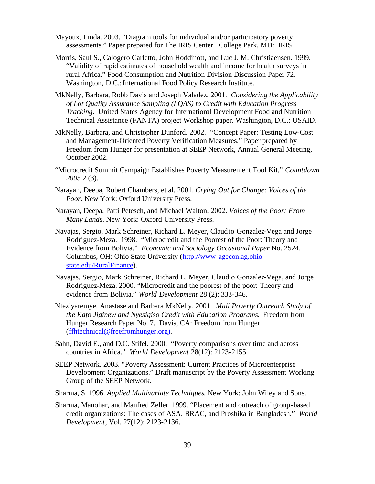- Mayoux, Linda. 2003. "Diagram tools for individual and/or participatory poverty assessments." Paper prepared for The IRIS Center. College Park, MD: IRIS.
- Morris, Saul S., Calogero Carletto, John Hoddinott, and Luc J. M. Christiaensen. 1999. "Validity of rapid estimates of household wealth and income for health surveys in rural Africa." Food Consumption and Nutrition Division Discussion Paper 72. Washington, D.C.: International Food Policy Research Institute.
- MkNelly, Barbara, Robb Davis and Joseph Valadez. 2001. *Considering the Applicability of Lot Quality Assurance Sampling (LQAS) to Credit with Education Progress Tracking.* United States Agency for International Development Food and Nutrition Technical Assistance (FANTA) project Workshop paper. Washington, D.C.: USAID.
- MkNelly, Barbara, and Christopher Dunford. 2002. "Concept Paper: Testing Low-Cost and Management-Oriented Poverty Verification Measures." Paper prepared by Freedom from Hunger for presentation at SEEP Network, Annual General Meeting, October 2002.
- "Microcredit Summit Campaign Establishes Poverty Measurement Tool Kit," *Countdown 2005* 2 (3).
- Narayan, Deepa, Robert Chambers, et al. 2001. *Crying Out for Change: Voices of the Poor*. New York: Oxford University Press.
- Narayan, Deepa, Patti Petesch, and Michael Walton. 2002. *Voices of the Poor: From Many Lands*. New York: Oxford University Press.
- Navajas, Sergio, Mark Schreiner, Richard L. Meyer, Claudio Gonzalez-Vega and Jorge Rodriguez-Meza. 1998. "Microcredit and the Poorest of the Poor: Theory and Evidence from Bolivia." *Economic and Sociology Occasional Paper* No. 2524. Columbus, OH: Ohio State University (http://www-agecon.ag.ohiostate.edu/RuralFinance).
- Navajas, Sergio, Mark Schreiner, Richard L. Meyer, Claudio Gonzalez-Vega, and Jorge Rodriguez-Meza. 2000. "Microcredit and the poorest of the poor: Theory and evidence from Bolivia." *World Development* 28 (2): 333-346.
- Nteziyaremye, Anastase and Barbara MkNelly. 2001. *Mali Poverty Outreach Study of the Kafo Jiginew and Nyesigiso Credit with Education Programs*. Freedom from Hunger Research Paper No. 7. Davis, CA: Freedom from Hunger (ffhtechnical@freefromhunger.org).
- Sahn, David E., and D.C. Stifel. 2000. "Poverty comparisons over time and across countries in Africa." *World Development* 28(12): 2123-2155.
- SEEP Network. 2003. "Poverty Assessment: Current Practices of Microenterprise Development Organizations." Draft manuscript by the Poverty Assessment Working Group of the SEEP Network.
- Sharma, S. 1996. *Applied Multivariate Techniques*. New York: John Wiley and Sons.
- Sharma, Manohar, and Manfred Zeller. 1999. "Placement and outreach of group-based credit organizations: The cases of ASA, BRAC, and Proshika in Bangladesh." *World Development*, Vol. 27(12): 2123-2136.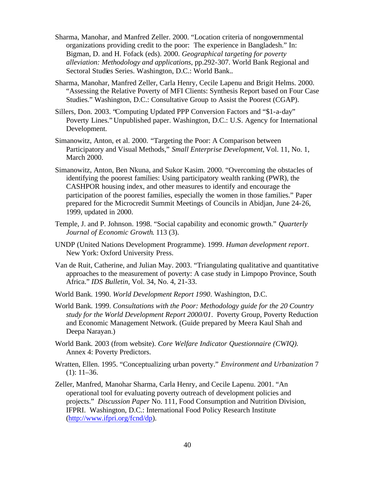- Sharma, Manohar, and Manfred Zeller. 2000. "Location criteria of nongovernmental organizations providing credit to the poor: The experience in Bangladesh." In: Bigman, D. and H. Fofack (eds). 2000. *Geographical targeting for poverty alleviation: Methodology and applications*, pp.292-307. World Bank Regional and Sectoral Studies Series. Washington, D.C.: World Bank.*.*
- Sharma, Manohar, Manfred Zeller, Carla Henry, Cecile Lapenu and Brigit Helms. 2000. "Assessing the Relative Poverty of MFI Clients: Synthesis Report based on Four Case Studies." Washington, D.C.: Consultative Group to Assist the Poorest (CGAP).
- Sillers, Don. 2003. "Computing Updated PPP Conversion Factors and "\$1-a-day" Poverty Lines." Unpublished paper. Washington, D.C.: U.S. Agency for International Development.
- Simanowitz, Anton, et al. 2000. "Targeting the Poor: A Comparison between Participatory and Visual Methods," *Small Enterprise Development,* Vol. 11, No. 1, March 2000.
- Simanowitz, Anton, Ben Nkuna, and Sukor Kasim. 2000. "Overcoming the obstacles of identifying the poorest families: Using participatory wealth ranking (PWR), the CASHPOR housing index, and other measures to identify and encourage the participation of the poorest families, especially the women in those families." Paper prepared for the Microcredit Summit Meetings of Councils in Abidjan, June 24-26, 1999, updated in 2000.
- Temple, J. and P. Johnson. 1998. "Social capability and economic growth." *Quarterly Journal of Economic Growth*. 113 (3).
- UNDP (United Nations Development Programme). 1999. *Human development report*. New York: Oxford University Press.
- Van de Ruit, Catherine, and Julian May. 2003. "Triangulating qualitative and quantitative approaches to the measurement of poverty: A case study in Limpopo Province, South Africa." *IDS Bulletin*, Vol. 34, No. 4, 21-33.
- World Bank. 1990. *World Development Report 1990*. Washington, D.C.
- World Bank. 1999. *Consultations with the Poor: Methodology guide for the 20 Country study for the World Development Report 2000/01*. Poverty Group, Poverty Reduction and Economic Management Network. (Guide prepared by Meera Kaul Shah and Deepa Narayan.)
- World Bank. 2003 (from website). *Core Welfare Indicator Questionnaire (CWIQ).* Annex 4: Poverty Predictors.
- Wratten, Ellen. 1995. "Conceptualizing urban poverty." *Environment and Urbanization* 7  $(1): 11-36.$
- Zeller, Manfred, Manohar Sharma, Carla Henry, and Cecile Lapenu. 2001. "An operational tool for evaluating poverty outreach of development policies and projects." *Discussion Paper* No. 111, Food Consumption and Nutrition Division, IFPRI. Washington, D.C.: International Food Policy Research Institute (http://www.ifpri.org/fcnd/dp).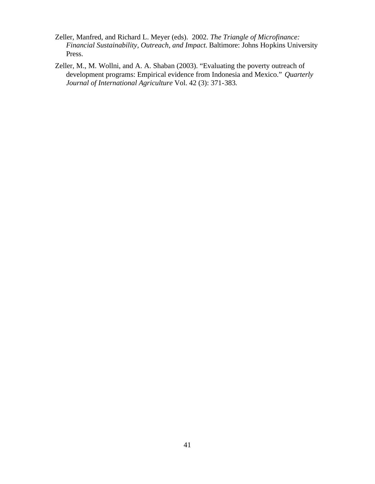- Zeller, Manfred, and Richard L. Meyer (eds). 2002. *The Triangle of Microfinance: Financial Sustainability, Outreach, and Impact.* Baltimore: Johns Hopkins University Press.
- Zeller, M., M. Wollni, and A. A. Shaban (2003). "Evaluating the poverty outreach of development programs: Empirical evidence from Indonesia and Mexico." *Quarterly Journal of International Agriculture* Vol. 42 (3): 371-383*.*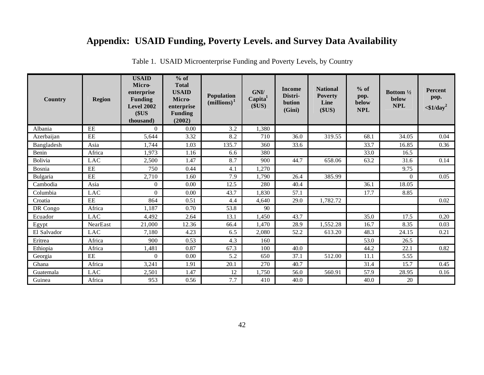# **Appendix: USAID Funding, Poverty Levels. and Survey Data Availability**

| Country     | <b>Region</b> | <b>USAID</b><br><b>Micro-</b><br>enterprise<br><b>Funding</b><br>Level 2002<br>\$US<br>thousand) | $%$ of<br><b>Total</b><br><b>USAID</b><br><b>Micro-</b><br>enterprise<br><b>Funding</b><br>(2002) | Population<br>(millions) <sup>1</sup> | <b>GNI/</b><br>Capita <sup>1</sup><br>\$US) | <b>Income</b><br>Distri-<br>bution<br>(Gini) | <b>National</b><br><b>Poverty</b><br>Line<br>\$US) | $%$ of<br>pop.<br>below<br><b>NPL</b> | Bottom $\frac{1}{2}$<br>below<br><b>NPL</b> | <b>Percent</b><br>pop.<br>$\langle 1/4ay^2 \rangle$ |
|-------------|---------------|--------------------------------------------------------------------------------------------------|---------------------------------------------------------------------------------------------------|---------------------------------------|---------------------------------------------|----------------------------------------------|----------------------------------------------------|---------------------------------------|---------------------------------------------|-----------------------------------------------------|
| Albania     | EE            | $\theta$                                                                                         | 0.00                                                                                              | 3.2                                   | 1,380                                       |                                              |                                                    |                                       |                                             |                                                     |
| Azerbaijan  | EE            | 5,644                                                                                            | 3.32                                                                                              | 8.2                                   | 710                                         | 36.0                                         | 319.55                                             | 68.1                                  | 34.05                                       | 0.04                                                |
| Bangladesh  | Asia          | 1,744                                                                                            | 1.03                                                                                              | 135.7                                 | 360                                         | 33.6                                         |                                                    | 33.7                                  | 16.85                                       | 0.36                                                |
| Benin       | Africa        | 1,973                                                                                            | 1.16                                                                                              | 6.6                                   | 380                                         |                                              |                                                    | 33.0                                  | 16.5                                        |                                                     |
| Bolivia     | <b>LAC</b>    | 2,500                                                                                            | 1.47                                                                                              | 8.7                                   | 900                                         | 44.7                                         | 658.06                                             | 63.2                                  | 31.6                                        | 0.14                                                |
| Bosnia      | EE            | 750                                                                                              | 0.44                                                                                              | 4.1                                   | 1,270                                       |                                              |                                                    |                                       | 9.75                                        |                                                     |
| Bulgaria    | EE            | 2,710                                                                                            | 1.60                                                                                              | 7.9                                   | 1,790                                       | 26.4                                         | 385.99                                             |                                       | $\Omega$                                    | 0.05                                                |
| Cambodia    | Asia          | $\overline{0}$                                                                                   | 0.00                                                                                              | 12.5                                  | 280                                         | 40.4                                         |                                                    | 36.1                                  | 18.05                                       |                                                     |
| Columbia    | <b>LAC</b>    | $\Omega$                                                                                         | 0.00                                                                                              | 43.7                                  | 1,830                                       | 57.1                                         |                                                    | 17.7                                  | 8.85                                        |                                                     |
| Croatia     | $\rm EE$      | 864                                                                                              | 0.51                                                                                              | 4.4                                   | 4,640                                       | 29.0                                         | 1,782.72                                           |                                       |                                             | 0.02                                                |
| DR Congo    | Africa        | 1,187                                                                                            | 0.70                                                                                              | 53.8                                  | 90                                          |                                              |                                                    |                                       |                                             |                                                     |
| Ecuador     | <b>LAC</b>    | 4,492                                                                                            | 2.64                                                                                              | 13.1                                  | 1,450                                       | 43.7                                         |                                                    | 35.0                                  | 17.5                                        | 0.20                                                |
| Egypt       | NearEast      | 21,000                                                                                           | 12.36                                                                                             | 66.4                                  | 1,470                                       | 28.9                                         | 1,552.28                                           | 16.7                                  | 8.35                                        | 0.03                                                |
| El Salvador | <b>LAC</b>    | 7,180                                                                                            | 4.23                                                                                              | 6.5                                   | 2,080                                       | 52.2                                         | 613.20                                             | 48.3                                  | 24.15                                       | 0.21                                                |
| Eritrea     | Africa        | 900                                                                                              | 0.53                                                                                              | 4.3                                   | 160                                         |                                              |                                                    | 53.0                                  | 26.5                                        |                                                     |
| Ethiopia    | Africa        | 1,481                                                                                            | 0.87                                                                                              | 67.3                                  | 100                                         | 40.0                                         |                                                    | 44.2                                  | 22.1                                        | 0.82                                                |
| Georgia     | <b>EE</b>     | $\Omega$                                                                                         | 0.00                                                                                              | 5.2                                   | 650                                         | 37.1                                         | 512.00                                             | 11.1                                  | 5.55                                        |                                                     |
| Ghana       | Africa        | 3,241                                                                                            | 1.91                                                                                              | 20.1                                  | 270                                         | 40.7                                         |                                                    | 31.4                                  | 15.7                                        | 0.45                                                |
| Guatemala   | <b>LAC</b>    | 2,501                                                                                            | 1.47                                                                                              | 12                                    | 1,750                                       | 56.0                                         | 560.91                                             | 57.9                                  | 28.95                                       | 0.16                                                |
| Guinea      | Africa        | 953                                                                                              | 0.56                                                                                              | 7.7                                   | 410                                         | 40.0                                         |                                                    | 40.0                                  | 20                                          |                                                     |

Table 1. USAID Microenterprise Funding and Poverty Levels, by Country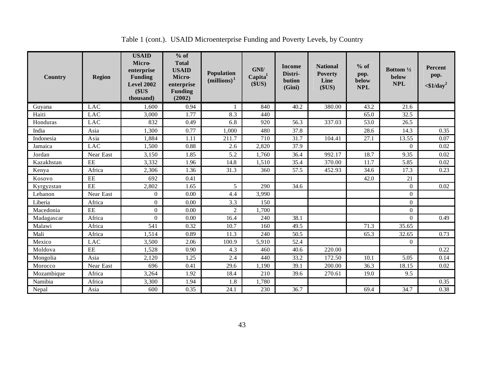| Country    | <b>Region</b> | <b>USAID</b><br><b>Micro-</b><br>enterprise<br><b>Funding</b><br>Level 2002<br>\$US<br>thousand) | $%$ of<br><b>Total</b><br><b>USAID</b><br><b>Micro-</b><br>enterprise<br><b>Funding</b><br>(2002) | <b>Population</b><br>(millions) <sup>1</sup> | GNI/<br>Capita <sup>1</sup><br>\$US) | Income<br>Distri-<br>bution<br>(Gini) | <b>National</b><br><b>Poverty</b><br>Line<br>\$US) | $%$ of<br>pop.<br>below<br><b>NPL</b> | Bottom $\frac{1}{2}$<br>below<br><b>NPL</b> | Percent<br>pop.<br>$\langle 1/4ay^2 \rangle$ |
|------------|---------------|--------------------------------------------------------------------------------------------------|---------------------------------------------------------------------------------------------------|----------------------------------------------|--------------------------------------|---------------------------------------|----------------------------------------------------|---------------------------------------|---------------------------------------------|----------------------------------------------|
| Guyana     | <b>LAC</b>    | 1,600                                                                                            | 0.94                                                                                              |                                              | 840                                  | 40.2                                  | 380.00                                             | 43.2                                  | 21.6                                        |                                              |
| Haiti      | <b>LAC</b>    | 3,000                                                                                            | 1.77                                                                                              | 8.3                                          | 440                                  |                                       |                                                    | 65.0                                  | 32.5                                        |                                              |
| Honduras   | <b>LAC</b>    | 832                                                                                              | 0.49                                                                                              | 6.8                                          | 920                                  | 56.3                                  | 337.03                                             | 53.0                                  | 26.5                                        |                                              |
| India      | Asia          | 1,300                                                                                            | 0.77                                                                                              | 1,000                                        | 480                                  | 37.8                                  |                                                    | 28.6                                  | 14.3                                        | 0.35                                         |
| Indonesia  | Asia          | 1,884                                                                                            | 1.11                                                                                              | 211.7                                        | 710                                  | 31.7                                  | 104.41                                             | 27.1                                  | 13.55                                       | 0.07                                         |
| Jamaica    | <b>LAC</b>    | 1,500                                                                                            | 0.88                                                                                              | 2.6                                          | 2,820                                | 37.9                                  |                                                    |                                       | $\overline{0}$                              | 0.02                                         |
| Jordan     | Near East     | 3,150                                                                                            | 1.85                                                                                              | 5.2                                          | 1,760                                | 36.4                                  | 992.17                                             | 18.7                                  | 9.35                                        | 0.02                                         |
| Kazakhstan | EE            | 3,332                                                                                            | 1.96                                                                                              | 14.8                                         | 1,510                                | 35.4                                  | 370.00                                             | 11.7                                  | 5.85                                        | 0.02                                         |
| Kenya      | Africa        | 2,306                                                                                            | 1.36                                                                                              | 31.3                                         | 360                                  | 57.5                                  | 452.93                                             | 34.6                                  | 17.3                                        | 0.23                                         |
| Kosovo     | EE            | 692                                                                                              | 0.41                                                                                              |                                              |                                      |                                       |                                                    | 42.0                                  | 21                                          |                                              |
| Kyrgyzstan | EE            | 2,802                                                                                            | 1.65                                                                                              | 5                                            | 290                                  | 34.6                                  |                                                    |                                       | $\overline{0}$                              | $0.02\,$                                     |
| Lebanon    | Near East     | $\overline{0}$                                                                                   | 0.00                                                                                              | 4.4                                          | 3,990                                |                                       |                                                    |                                       | $\overline{0}$                              |                                              |
| Liberia    | Africa        | $\Omega$                                                                                         | 0.00                                                                                              | 3.3                                          | 150                                  |                                       |                                                    |                                       | $\overline{0}$                              |                                              |
| Macedonia  | EE            | $\Omega$                                                                                         | 0.00                                                                                              | 2                                            | 1,700                                |                                       |                                                    |                                       | $\overline{0}$                              |                                              |
| Madagascar | Africa        | $\Omega$                                                                                         | 0.00                                                                                              | 16.4                                         | 240                                  | 38.1                                  |                                                    |                                       | $\boldsymbol{0}$                            | 0.49                                         |
| Malawi     | Africa        | 541                                                                                              | 0.32                                                                                              | 10.7                                         | 160                                  | 49.5                                  |                                                    | 71.3                                  | 35.65                                       |                                              |
| Mali       | Africa        | 1,514                                                                                            | 0.89                                                                                              | 11.3                                         | 240                                  | 50.5                                  |                                                    | 65.3                                  | 32.65                                       | 0.73                                         |
| Mexico     | <b>LAC</b>    | 3,500                                                                                            | 2.06                                                                                              | 100.9                                        | 5,910                                | 52.4                                  |                                                    |                                       | $\overline{0}$                              |                                              |
| Moldova    | EE            | 1,528                                                                                            | 0.90                                                                                              | 4.3                                          | 460                                  | 40.6                                  | 220.00                                             |                                       |                                             | 0.22                                         |
| Mongolia   | Asia          | 2,120                                                                                            | 1.25                                                                                              | 2.4                                          | 440                                  | 33.2                                  | 172.50                                             | 10.1                                  | 5.05                                        | 0.14                                         |
| Morocco    | Near East     | 696                                                                                              | 0.41                                                                                              | 29.6                                         | 1,190                                | 39.1                                  | 200.00                                             | 36.3                                  | 18.15                                       | $0.02\,$                                     |
| Mozambique | Africa        | 3,264                                                                                            | 1.92                                                                                              | 18.4                                         | 210                                  | 39.6                                  | 270.61                                             | 19.0                                  | 9.5                                         |                                              |
| Namibia    | Africa        | 3,300                                                                                            | 1.94                                                                                              | 1.8                                          | 1,780                                |                                       |                                                    |                                       |                                             | 0.35                                         |
| Nepal      | Asia          | 600                                                                                              | 0.35                                                                                              | 24.1                                         | 230                                  | 36.7                                  |                                                    | 69.4                                  | 34.7                                        | 0.38                                         |

# Table 1 (cont.). USAID Microenterprise Funding and Poverty Levels, by Country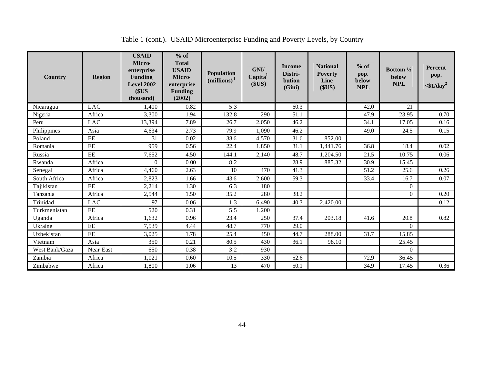| Country        | <b>Region</b> | <b>USAID</b><br><b>Micro-</b><br>enterprise<br><b>Funding</b><br><b>Level 2002</b><br>\$US<br>thousand) | $%$ of<br><b>Total</b><br><b>USAID</b><br><b>Micro-</b><br>enterprise<br><b>Funding</b><br>(2002) | Population<br>(millions) <sup>1</sup> | GNI/<br>Capita <sup>1</sup><br>\$US) | <b>Income</b><br>Distri-<br>bution<br>(Gini) | <b>National</b><br><b>Poverty</b><br>Line<br>\$US) | $%$ of<br>pop.<br>below<br><b>NPL</b> | Bottom $\frac{1}{2}$<br>below<br><b>NPL</b> | Percent<br>pop.<br>$\langle 1/4ay^2 \rangle$ |
|----------------|---------------|---------------------------------------------------------------------------------------------------------|---------------------------------------------------------------------------------------------------|---------------------------------------|--------------------------------------|----------------------------------------------|----------------------------------------------------|---------------------------------------|---------------------------------------------|----------------------------------------------|
| Nicaragua      | <b>LAC</b>    | 1,400                                                                                                   | 0.82                                                                                              | 5.3                                   |                                      | 60.3                                         |                                                    | 42.0                                  | 21                                          |                                              |
| Nigeria        | Africa        | 3.300                                                                                                   | 1.94                                                                                              | 132.8                                 | 290                                  | 51.1                                         |                                                    | 47.9                                  | 23.95                                       | 0.70                                         |
| Peru           | <b>LAC</b>    | 13,394                                                                                                  | 7.89                                                                                              | 26.7                                  | 2,050                                | 46.2                                         |                                                    | 34.1                                  | 17.05                                       | 0.16                                         |
| Philippines    | Asia          | 4,634                                                                                                   | 2.73                                                                                              | 79.9                                  | 1,090                                | 46.2                                         |                                                    | 49.0                                  | 24.5                                        | 0.15                                         |
| Poland         | $\rm EE$      | 31                                                                                                      | 0.02                                                                                              | 38.6                                  | 4,570                                | 31.6                                         | 852.00                                             |                                       |                                             |                                              |
| Romania        | EE            | 959                                                                                                     | 0.56                                                                                              | 22.4                                  | 1,850                                | 31.1                                         | 1,441.76                                           | 36.8                                  | 18.4                                        | 0.02                                         |
| Russia         | $\rm EE$      | 7,652                                                                                                   | 4.50                                                                                              | 144.1                                 | 2,140                                | 48.7                                         | 1,204.50                                           | 21.5                                  | 10.75                                       | 0.06                                         |
| Rwanda         | Africa        | $\Omega$                                                                                                | 0.00                                                                                              | 8.2                                   |                                      | 28.9                                         | 885.32                                             | 30.9                                  | 15.45                                       |                                              |
| Senegal        | Africa        | 4,460                                                                                                   | 2.63                                                                                              | 10                                    | 470                                  | 41.3                                         |                                                    | 51.2                                  | 25.6                                        | 0.26                                         |
| South Africa   | Africa        | 2,823                                                                                                   | 1.66                                                                                              | 43.6                                  | 2,600                                | 59.3                                         |                                                    | 33.4                                  | 16.7                                        | 0.07                                         |
| Tajikistan     | $\rm EE$      | 2,214                                                                                                   | 1.30                                                                                              | 6.3                                   | 180                                  |                                              |                                                    |                                       | $\overline{0}$                              |                                              |
| Tanzania       | Africa        | 2,544                                                                                                   | 1.50                                                                                              | 35.2                                  | 280                                  | 38.2                                         |                                                    |                                       | $\overline{0}$                              | 0.20                                         |
| Trinidad       | <b>LAC</b>    | 97                                                                                                      | 0.06                                                                                              | 1.3                                   | 6,490                                | 40.3                                         | 2,420.00                                           |                                       |                                             | 0.12                                         |
| Turkmenistan   | $\rm EE$      | 520                                                                                                     | 0.31                                                                                              | 5.5                                   | 1,200                                |                                              |                                                    |                                       |                                             |                                              |
| Uganda         | Africa        | 1,632                                                                                                   | 0.96                                                                                              | 23.4                                  | 250                                  | 37.4                                         | 203.18                                             | 41.6                                  | 20.8                                        | 0.82                                         |
| Ukraine        | EE            | 7,539                                                                                                   | 4.44                                                                                              | 48.7                                  | 770                                  | 29.0                                         |                                                    |                                       | $\overline{0}$                              |                                              |
| Uzbekistan     | EE            | 3,025                                                                                                   | 1.78                                                                                              | 25.4                                  | 450                                  | 44.7                                         | 288.00                                             | 31.7                                  | 15.85                                       |                                              |
| Vietnam        | Asia          | 350                                                                                                     | 0.21                                                                                              | 80.5                                  | 430                                  | 36.1                                         | 98.10                                              |                                       | 25.45                                       |                                              |
| West Bank/Gaza | Near East     | 650                                                                                                     | 0.38                                                                                              | 3.2                                   | 930                                  |                                              |                                                    |                                       | $\overline{0}$                              |                                              |
| Zambia         | Africa        | 1,021                                                                                                   | 0.60                                                                                              | 10.5                                  | 330                                  | 52.6                                         |                                                    | 72.9                                  | 36.45                                       |                                              |
| Zimbabwe       | Africa        | 1,800                                                                                                   | 1.06                                                                                              | 13                                    | 470                                  | 50.1                                         |                                                    | 34.9                                  | 17.45                                       | 0.36                                         |

# Table 1 (cont.). USAID Microenterprise Funding and Poverty Levels, by Country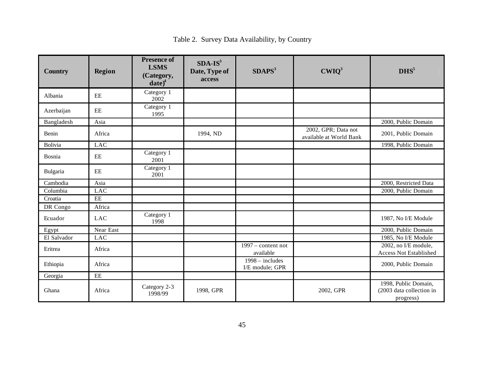| <b>Country</b> | <b>Region</b> | <b>Presence of</b><br><b>LSMS</b><br>(Category,<br>$date)^4$ | $SDA-IS3$<br>Date, Type of<br>access | SDAPS <sup>3</sup>                   | $CWIQ^3$                                       | DHS <sup>5</sup>                                              |
|----------------|---------------|--------------------------------------------------------------|--------------------------------------|--------------------------------------|------------------------------------------------|---------------------------------------------------------------|
| Albania        | EE            | Category 1<br>2002                                           |                                      |                                      |                                                |                                                               |
| Azerbaijan     | EE            | Category 1<br>1995                                           |                                      |                                      |                                                |                                                               |
| Bangladesh     | Asia          |                                                              |                                      |                                      |                                                | 2000, Public Domain                                           |
| Benin          | Africa        |                                                              | 1994, ND                             |                                      | 2002, GPR; Data not<br>available at World Bank | 2001, Public Domain                                           |
| Bolivia        | <b>LAC</b>    |                                                              |                                      |                                      |                                                | 1998, Public Domain                                           |
| Bosnia         | EE            | Category 1<br>2001                                           |                                      |                                      |                                                |                                                               |
| Bulgaria       | EE            | Category 1<br>2001                                           |                                      |                                      |                                                |                                                               |
| Cambodia       | Asia          |                                                              |                                      |                                      |                                                | 2000, Restricted Data                                         |
| Columbia       | <b>LAC</b>    |                                                              |                                      |                                      |                                                | 2000, Public Domain                                           |
| Croatia        | EE            |                                                              |                                      |                                      |                                                |                                                               |
| DR Congo       | Africa        |                                                              |                                      |                                      |                                                |                                                               |
| Ecuador        | <b>LAC</b>    | Category 1<br>1998                                           |                                      |                                      |                                                | 1987, No I/E Module                                           |
| Egypt          | Near East     |                                                              |                                      |                                      |                                                | 2000, Public Domain                                           |
| El Salvador    | <b>LAC</b>    |                                                              |                                      |                                      |                                                | 1985, No I/E Module                                           |
| Eritrea        | Africa        |                                                              |                                      | $1997$ – content not<br>available    |                                                | 2002, no I/E module,<br><b>Access Not Established</b>         |
| Ethiopia       | Africa        |                                                              |                                      | $1998 -$ includes<br>I/E module; GPR |                                                | 2000, Public Domain                                           |
| Georgia        | EE            |                                                              |                                      |                                      |                                                |                                                               |
| Ghana          | Africa        | Category 2-3<br>1998/99                                      | 1998, GPR                            |                                      | 2002, GPR                                      | 1998, Public Domain,<br>(2003 data collection in<br>progress) |

## Table 2. Survey Data Availability, by Country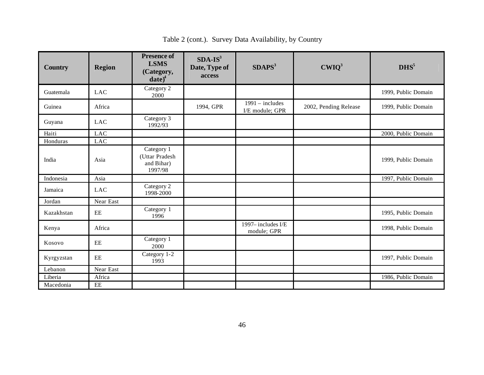| <b>Country</b> | <b>Region</b> | <b>Presence of</b><br><b>LSMS</b><br>(Category,<br>$date)^4$ | $SDA-IS3$<br>Date, Type of<br>access | SDAPS <sup>3</sup>                   | $CWIQ^3$              | DHS <sup>5</sup>    |
|----------------|---------------|--------------------------------------------------------------|--------------------------------------|--------------------------------------|-----------------------|---------------------|
| Guatemala      | <b>LAC</b>    | Category 2<br>2000                                           |                                      |                                      |                       | 1999, Public Domain |
| Guinea         | Africa        |                                                              | 1994, GPR                            | $1991 -$ includes<br>I/E module; GPR | 2002, Pending Release | 1999, Public Domain |
| Guyana         | <b>LAC</b>    | Category 3<br>1992/93                                        |                                      |                                      |                       |                     |
| Haiti          | <b>LAC</b>    |                                                              |                                      |                                      |                       | 2000, Public Domain |
| Honduras       | <b>LAC</b>    |                                                              |                                      |                                      |                       |                     |
| India          | Asia          | Category 1<br>(Uttar Pradesh<br>and Bihar)<br>1997/98        |                                      |                                      |                       | 1999, Public Domain |
| Indonesia      | Asia          |                                                              |                                      |                                      |                       | 1997, Public Domain |
| Jamaica        | <b>LAC</b>    | Category 2<br>1998-2000                                      |                                      |                                      |                       |                     |
| Jordan         | Near East     |                                                              |                                      |                                      |                       |                     |
| Kazakhstan     | EE            | Category 1<br>1996                                           |                                      |                                      |                       | 1995, Public Domain |
| Kenya          | Africa        |                                                              |                                      | 1997-includes I/E<br>module; GPR     |                       | 1998, Public Domain |
| Kosovo         | EE            | Category 1<br>2000                                           |                                      |                                      |                       |                     |
| Kyrgyzstan     | EE            | Category 1-2<br>1993                                         |                                      |                                      |                       | 1997, Public Domain |
| Lebanon        | Near East     |                                                              |                                      |                                      |                       |                     |
| Liberia        | Africa        |                                                              |                                      |                                      |                       | 1986, Public Domain |
| Macedonia      | EE            |                                                              |                                      |                                      |                       |                     |

Table 2 (cont.). Survey Data Availability, by Country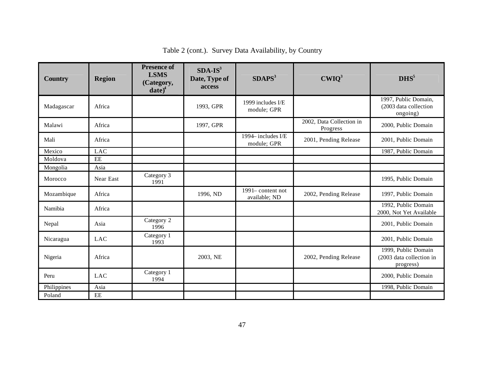| <b>Country</b> | <b>Region</b> | <b>Presence of</b><br><b>LSMS</b><br>(Category,<br>$date)^4$ | $SDA-IS3$<br>Date, Type of<br>access | SDAPS <sup>3</sup>                | $CWIQ^3$                             | $DHS5$                                                       |
|----------------|---------------|--------------------------------------------------------------|--------------------------------------|-----------------------------------|--------------------------------------|--------------------------------------------------------------|
| Madagascar     | Africa        |                                                              | 1993, GPR                            | 1999 includes I/E<br>module; GPR  |                                      | 1997, Public Domain,<br>(2003 data collection<br>ongoing)    |
| Malawi         | Africa        |                                                              | 1997, GPR                            |                                   | 2002, Data Collection in<br>Progress | 2000, Public Domain                                          |
| Mali           | Africa        |                                                              |                                      | 1994 includes I/E<br>module; GPR  | 2001, Pending Release                | 2001, Public Domain                                          |
| Mexico         | <b>LAC</b>    |                                                              |                                      |                                   |                                      | 1987, Public Domain                                          |
| Moldova        | $\rm EE$      |                                                              |                                      |                                   |                                      |                                                              |
| Mongolia       | Asia          |                                                              |                                      |                                   |                                      |                                                              |
| Morocco        | Near East     | Category 3<br>1991                                           |                                      |                                   |                                      | 1995, Public Domain                                          |
| Mozambique     | Africa        |                                                              | 1996, ND                             | 1991–content not<br>available; ND | 2002, Pending Release                | 1997, Public Domain                                          |
| Namibia        | Africa        |                                                              |                                      |                                   |                                      | 1992, Public Domain<br>2000, Not Yet Available               |
| Nepal          | Asia          | Category 2<br>1996                                           |                                      |                                   |                                      | 2001, Public Domain                                          |
| Nicaragua      | <b>LAC</b>    | Category 1<br>1993                                           |                                      |                                   |                                      | 2001, Public Domain                                          |
| Nigeria        | Africa        |                                                              | 2003, NE                             |                                   | 2002, Pending Release                | 1999, Public Domain<br>(2003 data collection in<br>progress) |
| Peru           | <b>LAC</b>    | Category 1<br>1994                                           |                                      |                                   |                                      | 2000, Public Domain                                          |
| Philippines    | Asia          |                                                              |                                      |                                   |                                      | 1998, Public Domain                                          |
| Poland         | $\rm EE$      |                                                              |                                      |                                   |                                      |                                                              |

Table 2 (cont.). Survey Data Availability, by Country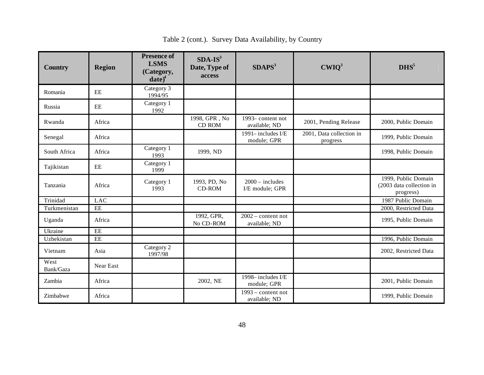| <b>Country</b>    | <b>Region</b> | <b>Presence of</b><br><b>LSMS</b><br>(Category,<br>$date)^4$ | $SDA-IS3$<br>Date, Type of<br>access | SDAPS <sup>3</sup>                    | $CWIQ^3$                             | $DHS5$                                                       |
|-------------------|---------------|--------------------------------------------------------------|--------------------------------------|---------------------------------------|--------------------------------------|--------------------------------------------------------------|
| Romania           | EE            | Category 3<br>1994/95                                        |                                      |                                       |                                      |                                                              |
| Russia            | EE            | Category 1<br>1992                                           |                                      |                                       |                                      |                                                              |
| Rwanda            | Africa        |                                                              | 1998, GPR, No.<br>CD ROM             | 1993-content not<br>available; ND     | 2001, Pending Release                | 2000, Public Domain                                          |
| Senegal           | Africa        |                                                              |                                      | 1991-includes I/E<br>module; GPR      | 2001, Data collection in<br>progress | 1999, Public Domain                                          |
| South Africa      | Africa        | Category 1<br>1993                                           | 1999, ND                             |                                       |                                      | 1998, Public Domain                                          |
| Tajikistan        | EE            | Category 1<br>1999                                           |                                      |                                       |                                      |                                                              |
| Tanzania          | Africa        | Category 1<br>1993                                           | 1993, PD, No<br>CD-ROM               | $2000 -$ includes<br>I/E module; GPR  |                                      | 1999, Public Domain<br>(2003 data collection in<br>progress) |
| Trinidad          | <b>LAC</b>    |                                                              |                                      |                                       |                                      | 1987 Public Domain                                           |
| Turkmenistan      | EE            |                                                              |                                      |                                       |                                      | 2000, Restricted Data                                        |
| Uganda            | Africa        |                                                              | 1992, GPR,<br>No CD-ROM              | $2002$ – content not<br>available; ND |                                      | 1995, Public Domain                                          |
| Ukraine           | EE            |                                                              |                                      |                                       |                                      |                                                              |
| Uzbekistan        | EE            |                                                              |                                      |                                       |                                      | 1996, Public Domain                                          |
| Vietnam           | Asia          | Category 2<br>1997/98                                        |                                      |                                       |                                      | 2002, Restricted Data                                        |
| West<br>Bank/Gaza | Near East     |                                                              |                                      |                                       |                                      |                                                              |
| Zambia            | Africa        |                                                              | 2002, NE                             | 1998-includes I/E<br>module; GPR      |                                      | 2001, Public Domain                                          |
| Zimbabwe          | Africa        |                                                              |                                      | $1993$ – content not<br>available; ND |                                      | 1999, Public Domain                                          |

Table 2 (cont.). Survey Data Availability, by Country